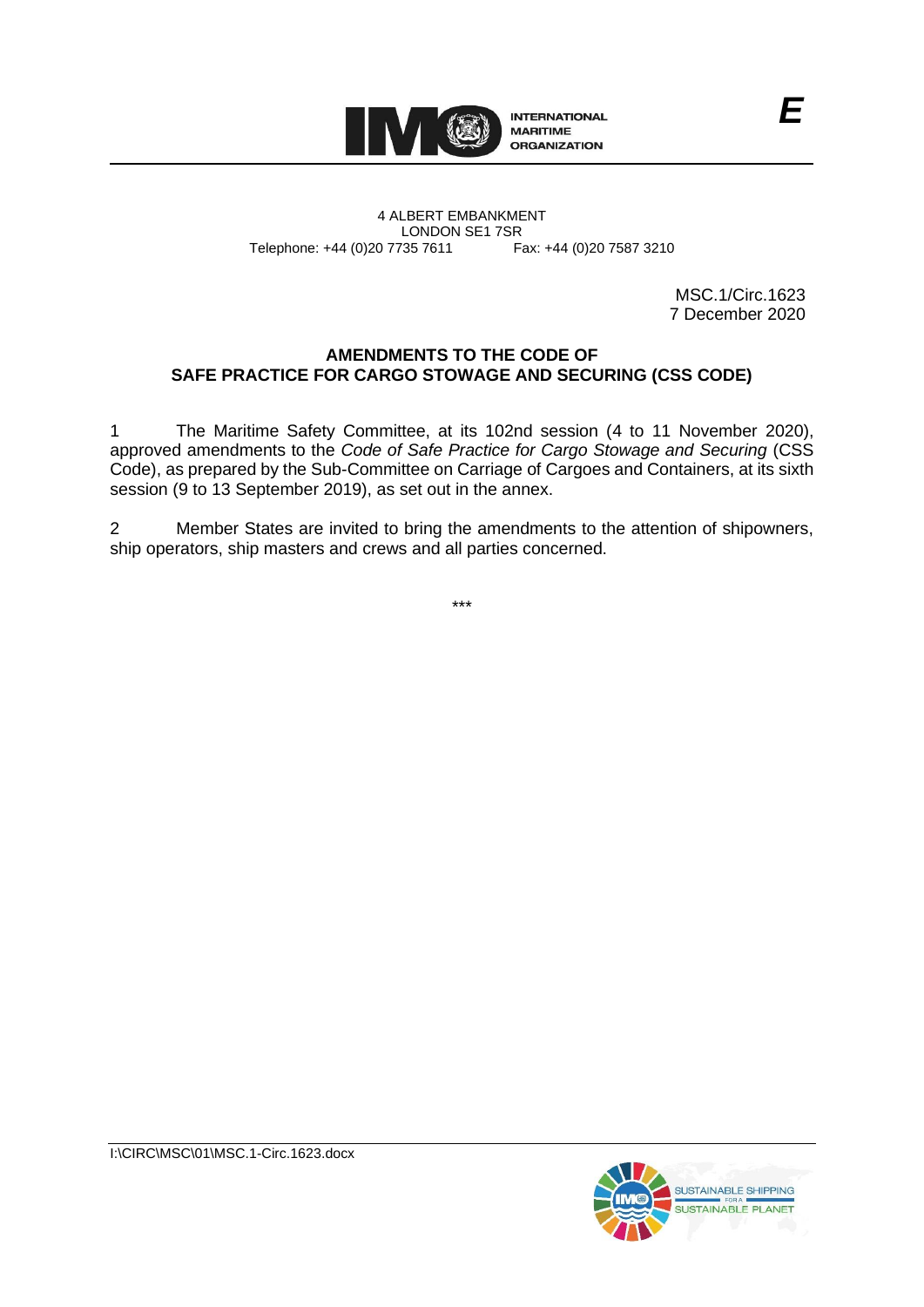

4 ALBERT EMBANKMENT Telephone: +44 (0)20 7735 7611

LONDON SE1 7SR<br>735 7611 Fax: +44 (0)20 7587 3210

MSC.1/Circ.1623 7 December 2020

# **AMENDMENTS TO THE CODE OF SAFE PRACTICE FOR CARGO STOWAGE AND SECURING (CSS CODE)**

1 The Maritime Safety Committee, at its 102nd session (4 to 11 November 2020), approved amendments to the *Code of Safe Practice for Cargo Stowage and Securing* (CSS Code), as prepared by the Sub-Committee on Carriage of Cargoes and Containers, at its sixth session (9 to 13 September 2019), as set out in the annex.

2 Member States are invited to bring the amendments to the attention of shipowners, ship operators, ship masters and crews and all parties concerned.

\*\*\*

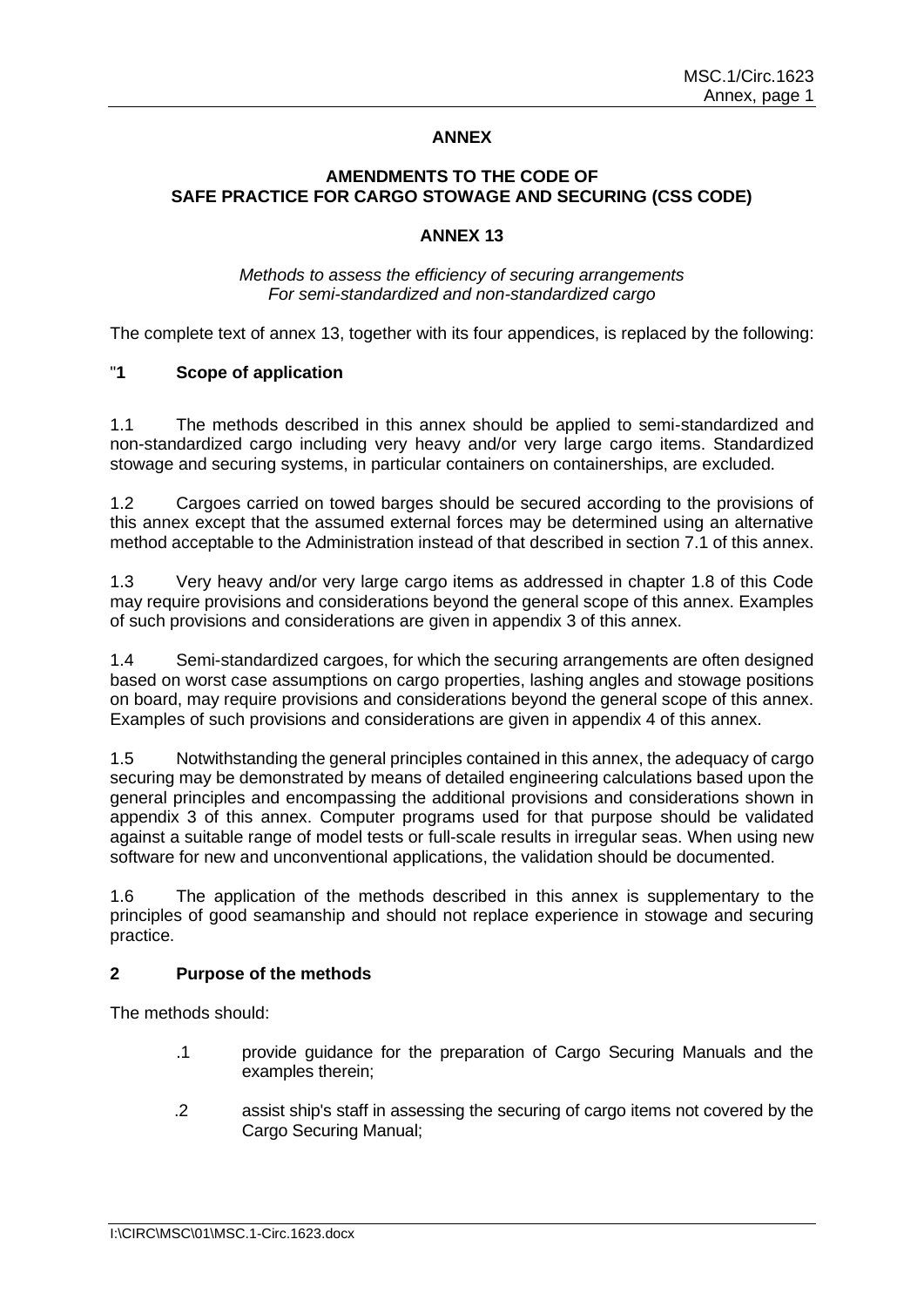### **ANNEX**

# **AMENDMENTS TO THE CODE OF SAFE PRACTICE FOR CARGO STOWAGE AND SECURING (CSS CODE)**

#### **ANNEX 13**

### *Methods to assess the efficiency of securing arrangements For semi-standardized and non-standardized cargo*

The complete text of annex 13, together with its four appendices, is replaced by the following:

# "**1 Scope of application**

1.1 The methods described in this annex should be applied to semi-standardized and non-standardized cargo including very heavy and/or very large cargo items. Standardized stowage and securing systems, in particular containers on containerships, are excluded.

1.2 Cargoes carried on towed barges should be secured according to the provisions of this annex except that the assumed external forces may be determined using an alternative method acceptable to the Administration instead of that described in section 7.1 of this annex.

1.3 Very heavy and/or very large cargo items as addressed in chapter 1.8 of this Code may require provisions and considerations beyond the general scope of this annex. Examples of such provisions and considerations are given in appendix 3 of this annex.

1.4 Semi-standardized cargoes, for which the securing arrangements are often designed based on worst case assumptions on cargo properties, lashing angles and stowage positions on board, may require provisions and considerations beyond the general scope of this annex. Examples of such provisions and considerations are given in appendix 4 of this annex.

1.5 Notwithstanding the general principles contained in this annex, the adequacy of cargo securing may be demonstrated by means of detailed engineering calculations based upon the general principles and encompassing the additional provisions and considerations shown in appendix 3 of this annex. Computer programs used for that purpose should be validated against a suitable range of model tests or full-scale results in irregular seas. When using new software for new and unconventional applications, the validation should be documented.

1.6 The application of the methods described in this annex is supplementary to the principles of good seamanship and should not replace experience in stowage and securing practice.

# **2 Purpose of the methods**

The methods should:

- .1 provide guidance for the preparation of Cargo Securing Manuals and the examples therein;
- .2 assist ship's staff in assessing the securing of cargo items not covered by the Cargo Securing Manual;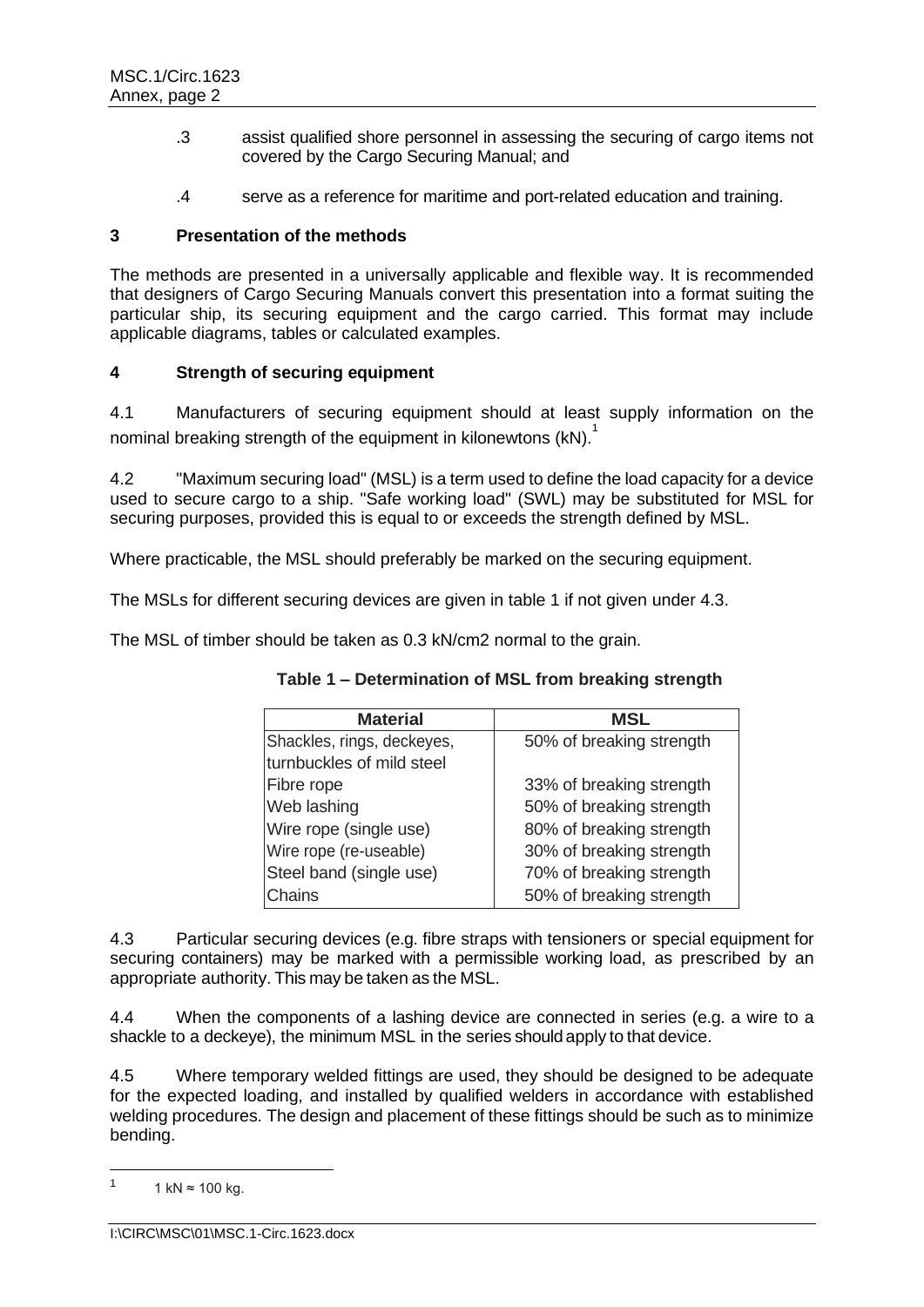- .3 assist qualified shore personnel in assessing the securing of cargo items not covered by the Cargo Securing Manual; and
- .4 serve as a reference for maritime and port-related education and training.

# **3 Presentation of the methods**

The methods are presented in a universally applicable and flexible way. It is recommended that designers of Cargo Securing Manuals convert this presentation into a format suiting the particular ship, its securing equipment and the cargo carried. This format may include applicable diagrams, tables or calculated examples.

# **4 Strength of securing equipment**

4.1 Manufacturers of securing equipment should at least supply information on the nominal breaking strength of the equipment in kilonewtons (kN).<sup>1</sup>

4.2 "Maximum securing load" (MSL) is a term used to define the load capacity for a device used to secure cargo to a ship. "Safe working load" (SWL) may be substituted for MSL for securing purposes, provided this is equal to or exceeds the strength defined by MSL.

Where practicable, the MSL should preferably be marked on the securing equipment.

The MSLs for different securing devices are given in table 1 if not given under 4.3.

The MSL of timber should be taken as 0.3 kN/cm2 normal to the grain.

| Table 1 – Determination of MSL from breaking strength |  |  |
|-------------------------------------------------------|--|--|
|-------------------------------------------------------|--|--|

| <b>Material</b>            | <b>MSL</b>               |
|----------------------------|--------------------------|
| Shackles, rings, deckeyes, | 50% of breaking strength |
| turnbuckles of mild steel  |                          |
| Fibre rope                 | 33% of breaking strength |
| Web lashing                | 50% of breaking strength |
| Wire rope (single use)     | 80% of breaking strength |
| Wire rope (re-useable)     | 30% of breaking strength |
| Steel band (single use)    | 70% of breaking strength |
| Chains                     | 50% of breaking strength |

4.3 Particular securing devices (e.g. fibre straps with tensioners or special equipment for securing containers) may be marked with a permissible working load, as prescribed by an appropriate authority. This may be taken as the MSL.

4.4 When the components of a lashing device are connected in series (e.g. a wire to a shackle to a deckeye), the minimum MSL in the series should apply to that device.

4.5 Where temporary welded fittings are used, they should be designed to be adequate for the expected loading, and installed by qualified welders in accordance with established welding procedures. The design and placement of these fittings should be such as to minimize bending.

<sup>1</sup> 1 kN ≈ 100 kg.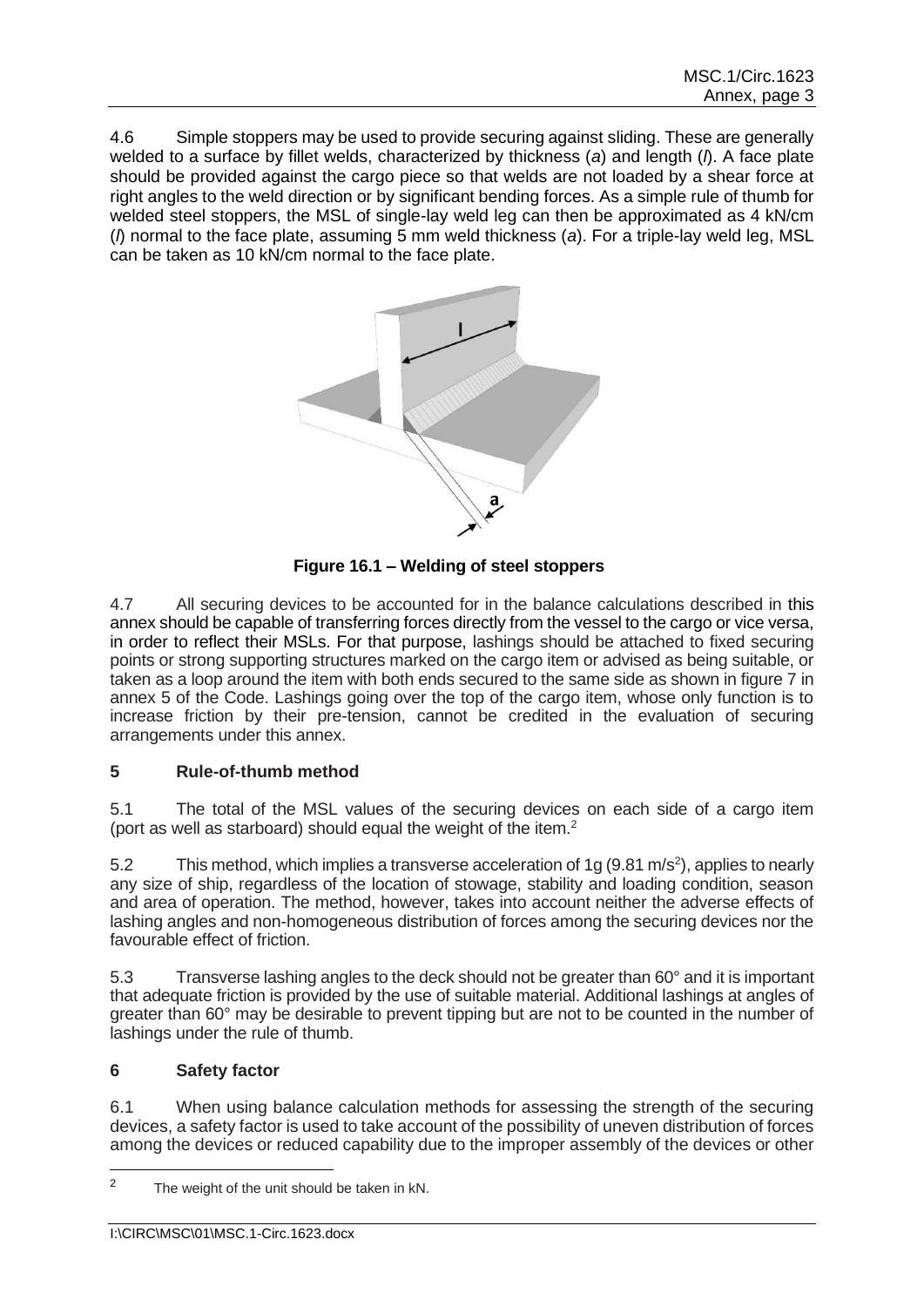4.6 Simple stoppers may be used to provide securing against sliding. These are generally welded to a surface by fillet welds, characterized by thickness (*a*) and length (*l*). A face plate should be provided against the cargo piece so that welds are not loaded by a shear force at right angles to the weld direction or by significant bending forces. As a simple rule of thumb for welded steel stoppers, the MSL of single-lay weld leg can then be approximated as 4 kN/cm (*l*) normal to the face plate, assuming 5 mm weld thickness (*a*). For a triple-lay weld leg, MSL can be taken as 10 kN/cm normal to the face plate.



**Figure 16.1 – Welding of steel stoppers**

4.7 All securing devices to be accounted for in the balance calculations described in this annex should be capable of transferring forces directly from the vessel to the cargo or vice versa, in order to reflect their MSLs. For that purpose, lashings should be attached to fixed securing points or strong supporting structures marked on the cargo item or advised as being suitable, or taken as a loop around the item with both ends secured to the same side as shown in figure 7 in annex 5 of the Code. Lashings going over the top of the cargo item, whose only function is to increase friction by their pre-tension, cannot be credited in the evaluation of securing arrangements under this annex.

# **5 Rule-of-thumb method**

5.1 The total of the MSL values of the securing devices on each side of a cargo item (port as well as starboard) should equal the weight of the item.<sup>2</sup>

5.2 This method, which implies a transverse acceleration of 1g (9.81 m/s<sup>2</sup>), applies to nearly any size of ship, regardless of the location of stowage, stability and loading condition, season and area of operation. The method, however, takes into account neither the adverse effects of lashing angles and non-homogeneous distribution of forces among the securing devices nor the favourable effect of friction.

5.3 Transverse lashing angles to the deck should not be greater than 60° and it is important that adequate friction is provided by the use of suitable material. Additional lashings at angles of greater than 60° may be desirable to prevent tipping but are not to be counted in the number of lashings under the rule of thumb.

# **6 Safety factor**

6.1 When using balance calculation methods for assessing the strength of the securing devices, a safety factor is used to take account of the possibility of uneven distribution of forces among the devices or reduced capability due to the improper assembly of the devices or other

<sup>&</sup>lt;sup>2</sup> The weight of the unit should be taken in kN.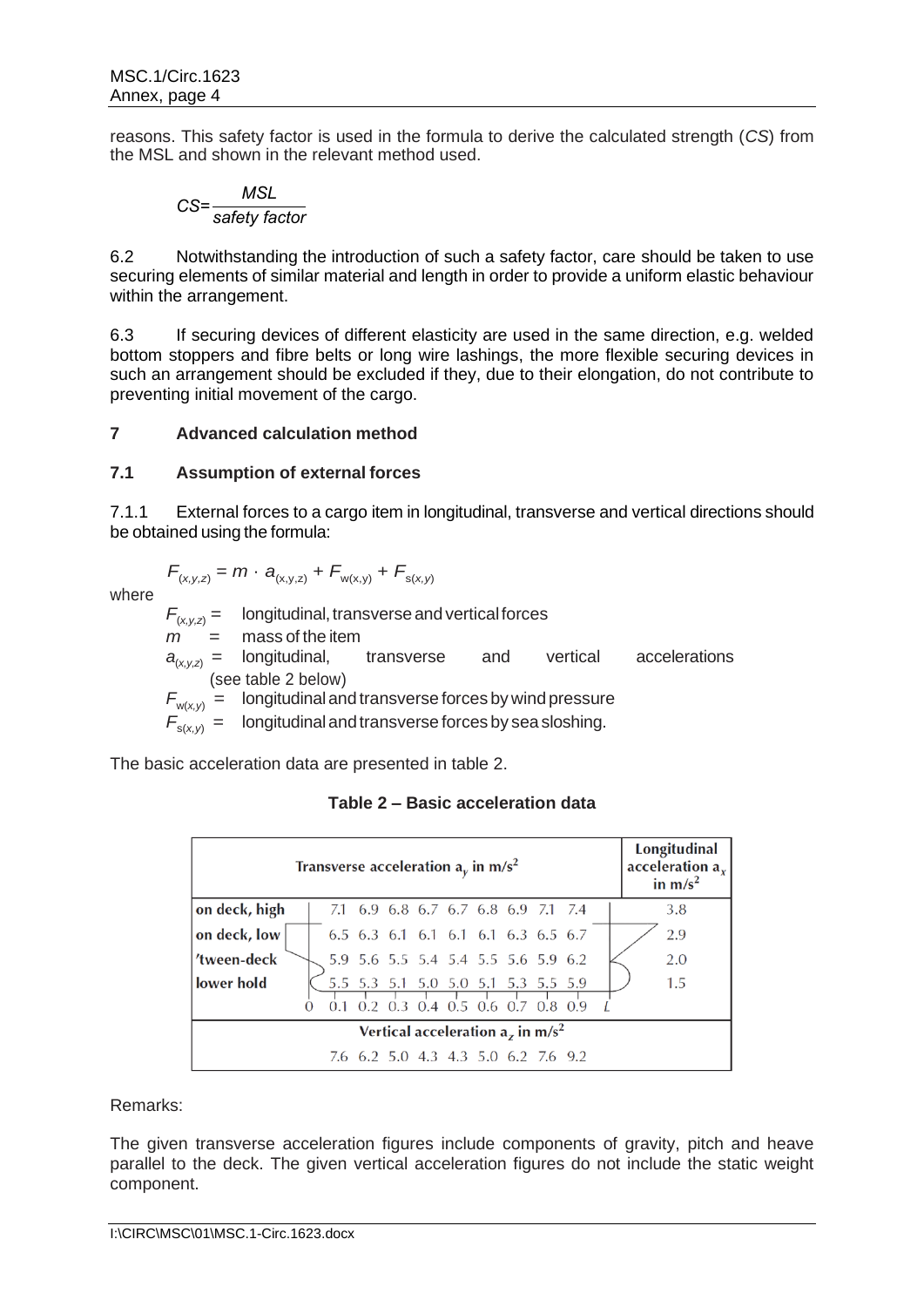reasons. This safety factor is used in the formula to derive the calculated strength (*CS*) from the MSL and shown in the relevant method used.

$$
CS = \frac{MSL}{safety factor}
$$

6.2 Notwithstanding the introduction of such a safety factor, care should be taken to use securing elements of similar material and length in order to provide a uniform elastic behaviour within the arrangement.

6.3 If securing devices of different elasticity are used in the same direction, e.g. welded bottom stoppers and fibre belts or long wire lashings, the more flexible securing devices in such an arrangement should be excluded if they, due to their elongation, do not contribute to preventing initial movement of the cargo.

# **7 Advanced calculation method**

# **7.1 Assumption of external forces**

7.1.1 External forces to a cargo item in longitudinal, transverse and vertical directions should be obtained using the formula:

$$
F_{(x,y,z)} = m \cdot a_{(x,y,z)} + F_{w(x,y)} + F_{s(x,y)}
$$

where

$$
T_{(x,y,z)} = m \cdot a_{(x,y,z)} + F_{w(x,y)} + F_{s(x,y)}
$$

 $F_{(x,y,z)} =$  longitudinal, transverse and vertical forces  $m =$  mass of the item  $a_{(x,y,z)} =$  longitudinal, transverse and vertical accelerations (see table 2 below)  $F_{w(x,y)} =$  longitudinal and transverse forces by wind pressure

 $F_{s(x,y)}$  = longitudinal and transverse forces by sea sloshing.

The basic acceleration data are presented in table 2.

# **Table 2 – Basic acceleration data**

|                                                | Transverse acceleration $a_v$ in m/s <sup>2</sup> |  |  |  |  |                                     |  |  |  |  |  | Longitudinal<br>acceleration $a_x$<br>in $m/s^2$ |
|------------------------------------------------|---------------------------------------------------|--|--|--|--|-------------------------------------|--|--|--|--|--|--------------------------------------------------|
| on deck, high                                  |                                                   |  |  |  |  | 7.1 6.9 6.8 6.7 6.7 6.8 6.9 7.1 7.4 |  |  |  |  |  | 3.8                                              |
| on deck, low                                   | 6.5 6.3 6.1 6.1 6.1 6.1 6.3 6.5 6.7               |  |  |  |  |                                     |  |  |  |  |  |                                                  |
| 'tween-deck                                    | 5.9 5.6 5.5 5.4 5.4 5.5 5.6 5.9 6.2               |  |  |  |  |                                     |  |  |  |  |  |                                                  |
| lower hold                                     |                                                   |  |  |  |  | 5.5 5.3 5.1 5.0 5.0 5.1 5.3 5.5 5.9 |  |  |  |  |  | 1.5                                              |
| $0.2$ 0.3 0.4 0.5 0.6 0.7 0.8 0.9              |                                                   |  |  |  |  |                                     |  |  |  |  |  |                                                  |
| Vertical acceleration $az$ in m/s <sup>2</sup> |                                                   |  |  |  |  |                                     |  |  |  |  |  |                                                  |
| 7.6 6.2 5.0 4.3 4.3 5.0 6.2 7.6 9.2            |                                                   |  |  |  |  |                                     |  |  |  |  |  |                                                  |

Remarks:

The given transverse acceleration figures include components of gravity, pitch and heave parallel to the deck. The given vertical acceleration figures do not include the static weight component.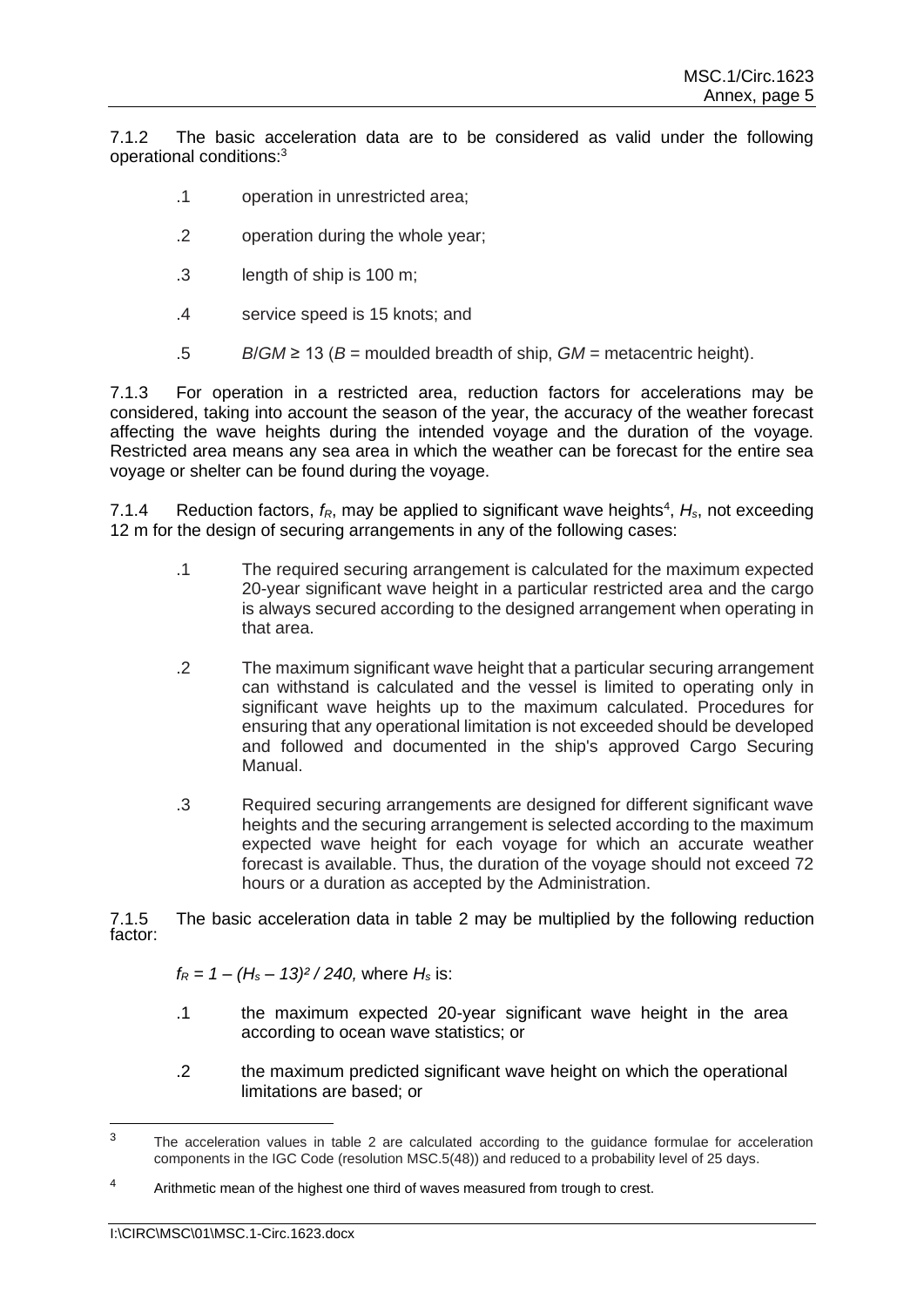7.1.2 The basic acceleration data are to be considered as valid under the following operational conditions:<sup>3</sup>

- .1 operation in unrestricted area;
- .2 operation during the whole year;
- .3 length of ship is 100 m;
- .4 service speed is 15 knots; and
- .5 *B*/*GM* ≥ 13 (*B* = moulded breadth of ship, *GM* = metacentric height).

7.1.3 For operation in a restricted area, reduction factors for accelerations may be considered, taking into account the season of the year, the accuracy of the weather forecast affecting the wave heights during the intended voyage and the duration of the voyage. Restricted area means any sea area in which the weather can be forecast for the entire sea voyage or shelter can be found during the voyage.

7.1.4 Reduction factors,  $f_R$ , may be applied to significant wave heights<sup>4</sup>,  $H_s$ , not exceeding 12 m for the design of securing arrangements in any of the following cases:

- .1 The required securing arrangement is calculated for the maximum expected 20-year significant wave height in a particular restricted area and the cargo is always secured according to the designed arrangement when operating in that area.
- .2 The maximum significant wave height that a particular securing arrangement can withstand is calculated and the vessel is limited to operating only in significant wave heights up to the maximum calculated. Procedures for ensuring that any operational limitation is not exceeded should be developed and followed and documented in the ship's approved Cargo Securing Manual.
- .3 Required securing arrangements are designed for different significant wave heights and the securing arrangement is selected according to the maximum expected wave height for each voyage for which an accurate weather forecast is available. Thus, the duration of the voyage should not exceed 72 hours or a duration as accepted by the Administration.

7.1.5 The basic acceleration data in table 2 may be multiplied by the following reduction factor:

 $f_R = 1 - (H_s - 13)^2 / 240$ , where  $H_s$  is:

- .1 the maximum expected 20-year significant wave height in the area according to ocean wave statistics; or
- .2 the maximum predicted significant wave height on which the operational limitations are based; or

<sup>&</sup>lt;sup>3</sup> The acceleration values in table 2 are calculated according to the guidance formulae for acceleration components in the IGC Code (resolution MSC.5(48)) and reduced to a probability level of 25 days.

<sup>&</sup>lt;sup>4</sup> Arithmetic mean of the highest one third of waves measured from trough to crest.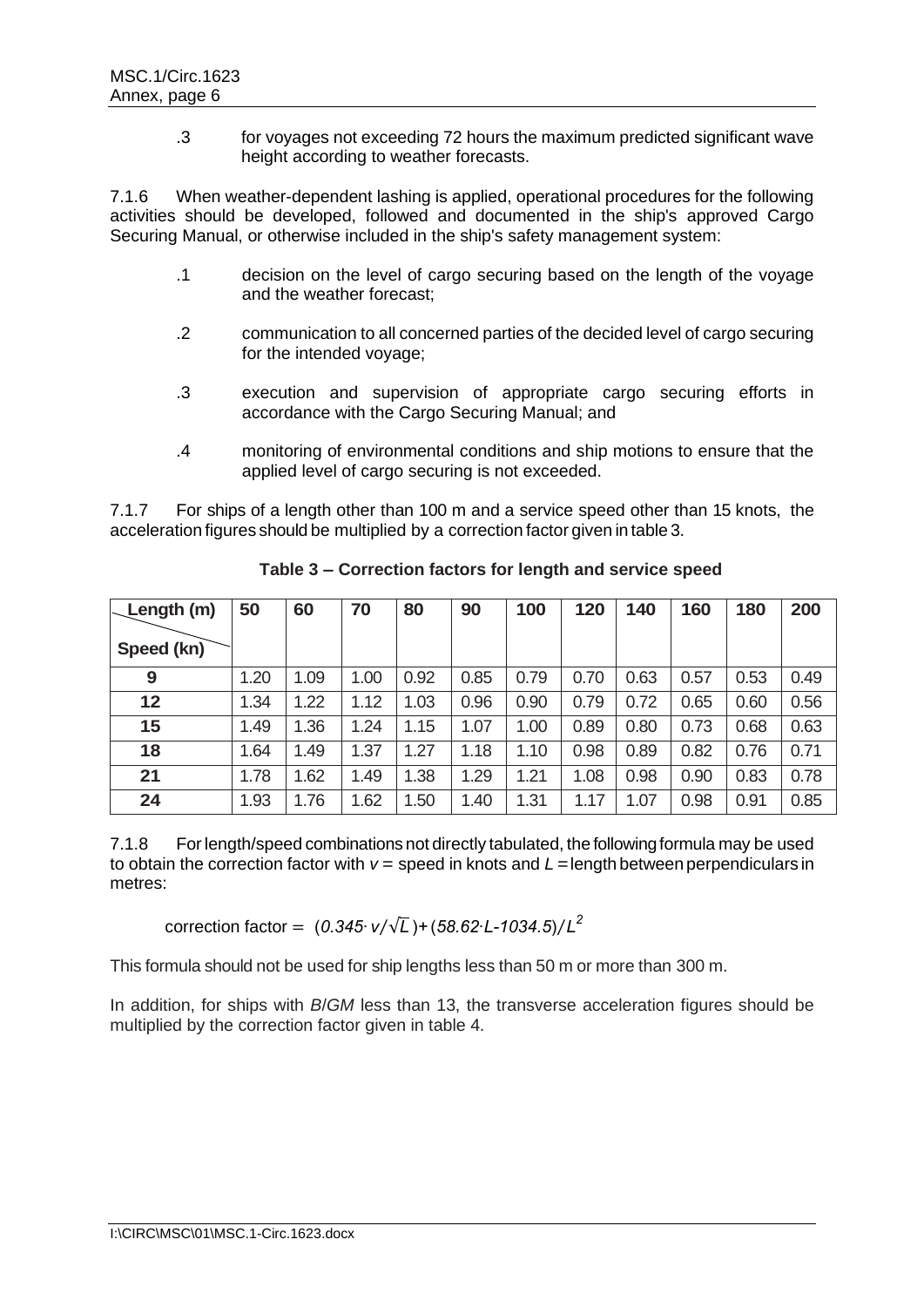.3 for voyages not exceeding 72 hours the maximum predicted significant wave height according to weather forecasts.

7.1.6 When weather-dependent lashing is applied, operational procedures for the following activities should be developed, followed and documented in the ship's approved Cargo Securing Manual, or otherwise included in the ship's safety management system:

- .1 decision on the level of cargo securing based on the length of the voyage and the weather forecast;
- .2 communication to all concerned parties of the decided level of cargo securing for the intended voyage;
- .3 execution and supervision of appropriate cargo securing efforts in accordance with the Cargo Securing Manual; and
- .4 monitoring of environmental conditions and ship motions to ensure that the applied level of cargo securing is not exceeded.

7.1.7 For ships of a length other than 100 m and a service speed other than 15 knots, the acceleration figures should be multiplied by a correction factor given in table 3.

| Length (m) | 50   | 60   | 70   | 80   | 90   | 100  | 120  | 140  | 160  | 180  | 200  |
|------------|------|------|------|------|------|------|------|------|------|------|------|
| Speed (kn) |      |      |      |      |      |      |      |      |      |      |      |
| 9          | 1.20 | 1.09 | 1.00 | 0.92 | 0.85 | 0.79 | 0.70 | 0.63 | 0.57 | 0.53 | 0.49 |
| 12         | 1.34 | 1.22 | 1.12 | 1.03 | 0.96 | 0.90 | 0.79 | 0.72 | 0.65 | 0.60 | 0.56 |
| 15         | 1.49 | 1.36 | 1.24 | 1.15 | 1.07 | 1.00 | 0.89 | 0.80 | 0.73 | 0.68 | 0.63 |
| 18         | 1.64 | 1.49 | 1.37 | 1.27 | 1.18 | 1.10 | 0.98 | 0.89 | 0.82 | 0.76 | 0.71 |
| 21         | 1.78 | 1.62 | 1.49 | 1.38 | 1.29 | 1.21 | 1.08 | 0.98 | 0.90 | 0.83 | 0.78 |
| 24         | 1.93 | 1.76 | 1.62 | 1.50 | 1.40 | 1.31 | 1.17 | 1.07 | 0.98 | 0.91 | 0.85 |

**Table 3 – Correction factors for length and service speed**

7.1.8 For length/speed combinations not directly tabulated, the following formula may be used to obtain the correction factor with  $v =$  speed in knots and  $L =$  length between perpendiculars in metres:

correction factor = (*0.345∙ v*⁄√*L* )*+* (*58.62∙L-1034.5*) *L 2* ⁄

This formula should not be used for ship lengths less than 50 m or more than 300 m.

In addition, for ships with *B*/*GM* less than 13, the transverse acceleration figures should be multiplied by the correction factor given in table 4.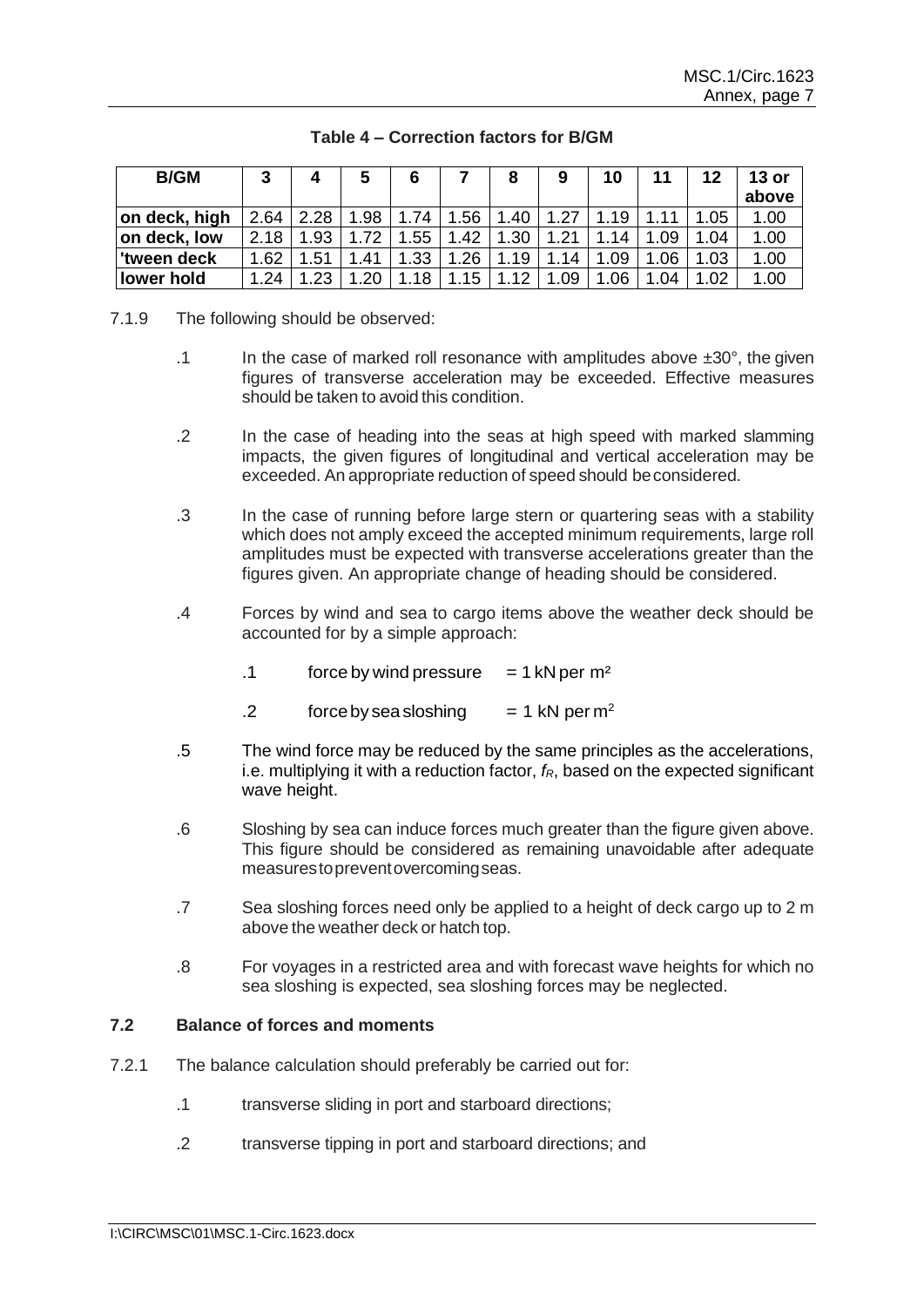| <b>B/GM</b>   | 3    | 4    | C   | 6   |     |         | 9   | 10   |     | 12   | $13$ or<br>above |
|---------------|------|------|-----|-----|-----|---------|-----|------|-----|------|------------------|
| on deck, high | 2.64 | 2.28 | .98 | .74 | .56 | .40     |     | 19   |     | .05  | 1.00             |
| on deck, low  | 2.18 | 1.93 | .72 | .55 | .42 | .30     |     | 14   | .09 | 1.04 | 1.00             |
| tween deck    | 1.62 | .51  | .41 | .33 | .26 | 19<br>1 | .14 | 1.09 | 06  | 1.03 | 1.00             |
| lower hold    | .24  | .23  | .20 | .18 | 15  | 12      | .09 | .06  | .04 | 1.02 | 1.00             |

# **Table 4 – Correction factors for B/GM**

- 7.1.9 The following should be observed:
	- .1 In the case of marked roll resonance with amplitudes above  $\pm 30^\circ$ , the given figures of transverse acceleration may be exceeded. Effective measures should be taken to avoid this condition.
	- .2 In the case of heading into the seas at high speed with marked slamming impacts, the given figures of longitudinal and vertical acceleration may be exceeded. An appropriate reduction of speed should beconsidered.
	- .3 In the case of running before large stern or quartering seas with a stability which does not amply exceed the accepted minimum requirements, large roll amplitudes must be expected with transverse accelerations greater than the figures given. An appropriate change of heading should be considered.
	- .4 Forces by wind and sea to cargo items above the weather deck should be accounted for by a simple approach:
		- .1 force by wind pressure  $= 1$  kN per m<sup>2</sup>
		- .2 force by sea sloshing  $= 1 \text{ kN per m}^2$
	- .5 The wind force may be reduced by the same principles as the accelerations, i.e. multiplying it with a reduction factor, *fR*, based on the expected significant wave height.
	- .6 Sloshing by sea can induce forces much greater than the figure given above. This figure should be considered as remaining unavoidable after adequate measurestopreventovercomingseas.
	- .7 Sea sloshing forces need only be applied to a height of deck cargo up to 2 m above the weather deck or hatch top.
	- .8 For voyages in a restricted area and with forecast wave heights for which no sea sloshing is expected, sea sloshing forces may be neglected.

# **7.2 Balance of forces and moments**

- 7.2.1 The balance calculation should preferably be carried out for:
	- .1 transverse sliding in port and starboard directions;
	- .2 transverse tipping in port and starboard directions; and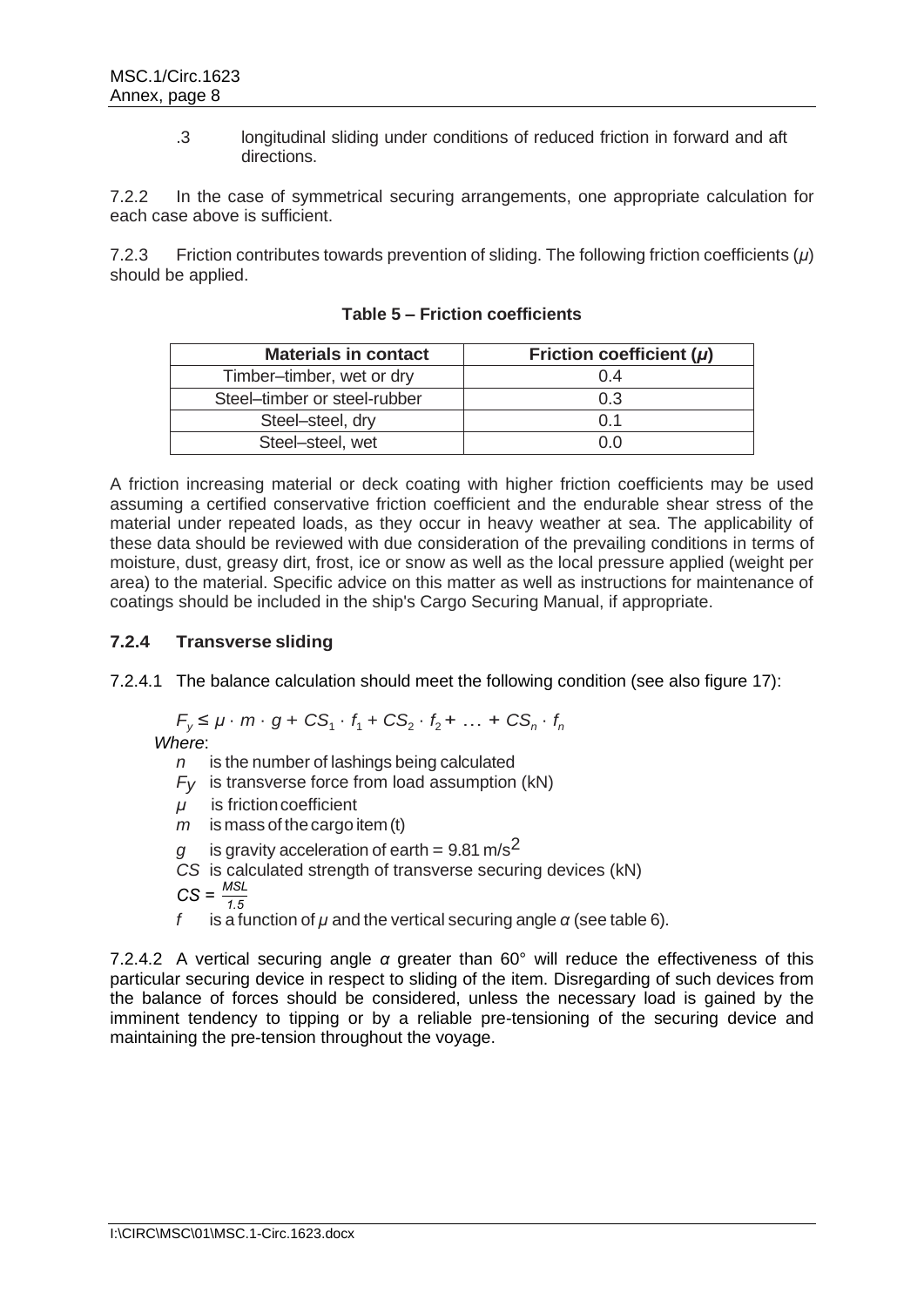.3 longitudinal sliding under conditions of reduced friction in forward and aft directions.

7.2.2 In the case of symmetrical securing arrangements, one appropriate calculation for each case above is sufficient.

7.2.3 Friction contributes towards prevention of sliding. The following friction coefficients (*μ*) should be applied.

| <b>Materials in contact</b>  | Friction coefficient $(\mu)$ |
|------------------------------|------------------------------|
| Timber-timber, wet or dry    | 0.4                          |
| Steel-timber or steel-rubber | 0.3                          |
| Steel-steel, dry             | በ 1                          |
| Steel-steel, wet             | ስ በ                          |

**Table 5 – Friction coefficients**

A friction increasing material or deck coating with higher friction coefficients may be used assuming a certified conservative friction coefficient and the endurable shear stress of the material under repeated loads, as they occur in heavy weather at sea. The applicability of these data should be reviewed with due consideration of the prevailing conditions in terms of moisture, dust, greasy dirt, frost, ice or snow as well as the local pressure applied (weight per area) to the material. Specific advice on this matter as well as instructions for maintenance of coatings should be included in the ship's Cargo Securing Manual, if appropriate.

# **7.2.4 Transverse sliding**

7.2.4.1 The balance calculation should meet the following condition (see also figure 17):

$$
F_y \leq \mu \cdot m \cdot g + CS_1 \cdot f_1 + CS_2 \cdot f_2 + \dots + CS_n \cdot f_n
$$

*Where*:

*n* is the number of lashings being calculated

- $F_V$  is transverse force from load assumption (kN)
- *μ* is frictioncoefficient
- *m* is mass of the cargo item (t)
- is gravity acceleration of earth =  $9.81 \text{ m/s}^2$

*CS* is calculated strength of transverse securing devices (kN)

$$
CS = \frac{MSL}{1.5}
$$

*f* is a function of *μ* and the vertical securing angle *α* (see table 6).

7.2.4.2 A vertical securing angle *α* greater than 60° will reduce the effectiveness of this particular securing device in respect to sliding of the item. Disregarding of such devices from the balance of forces should be considered, unless the necessary load is gained by the imminent tendency to tipping or by a reliable pre-tensioning of the securing device and maintaining the pre-tension throughout the voyage.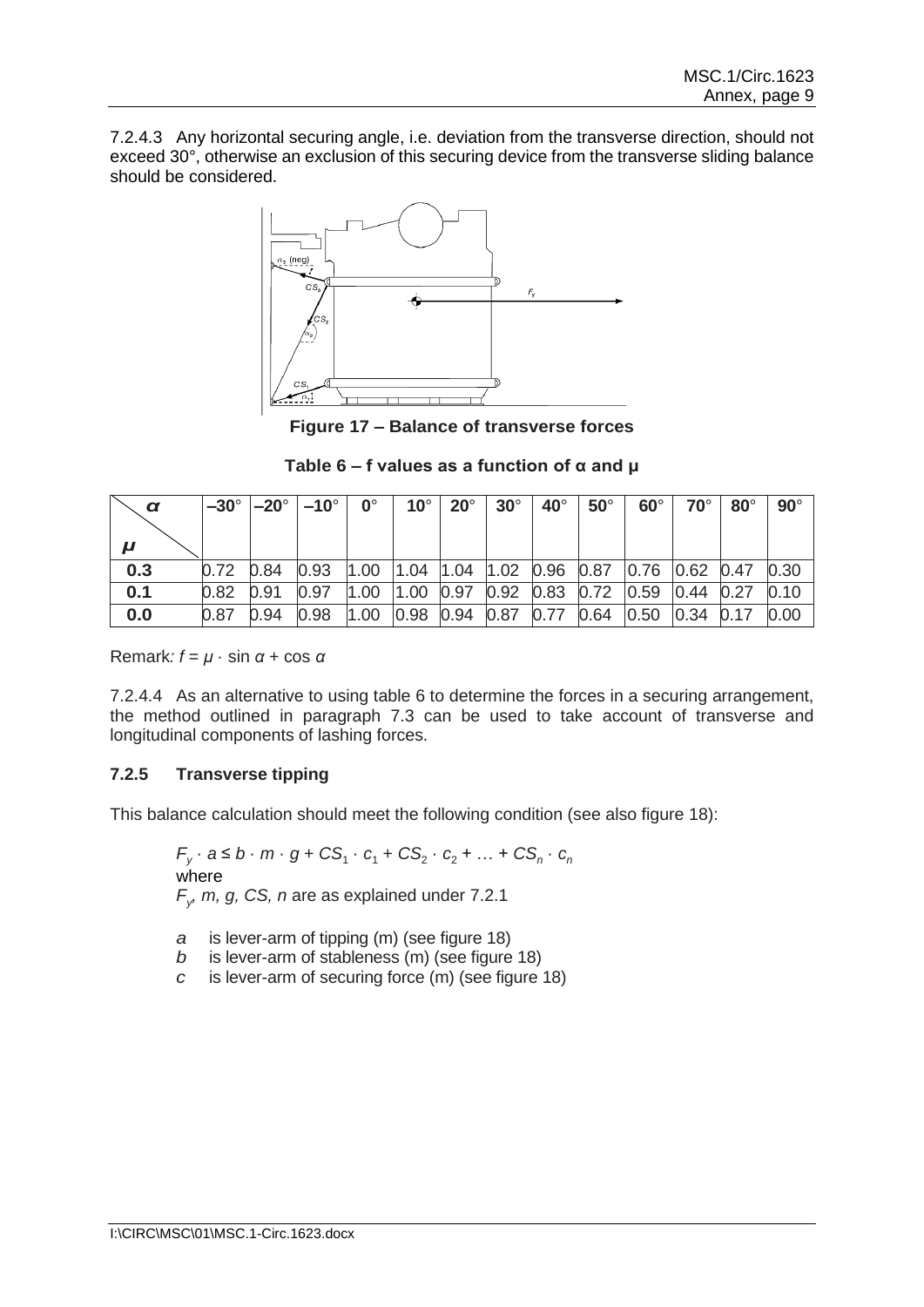7.2.4.3 Any horizontal securing angle, i.e. deviation from the transverse direction, should not exceed 30°, otherwise an exclusion of this securing device from the transverse sliding balance should be considered.



**Figure 17 – Balance of transverse forces**

| Table 6 – f values as a function of $\alpha$ and $\mu$ |
|--------------------------------------------------------|
|--------------------------------------------------------|

| α   |      |      | $-30^{\circ}$ $ -20^{\circ}$ $ -10^{\circ}$ $ $ | $\mathbf{0}^{\circ}$ | $10^{\circ}$             | $20^\circ$ | $30^\circ$ | $40^\circ$ | $50^\circ$                                                                                | $60^\circ$                                     | $70^\circ$              | $80^\circ$ | $90^\circ$ |
|-----|------|------|-------------------------------------------------|----------------------|--------------------------|------------|------------|------------|-------------------------------------------------------------------------------------------|------------------------------------------------|-------------------------|------------|------------|
| 0.3 | 0.72 | 0.84 | 0.93                                            | 1.00                 |                          |            |            |            | $\vert 1.04 \vert 1.04 \vert 1.02 \vert 0.96 \vert 0.87 \vert 0.76 \vert 0.62 \vert 0.47$ |                                                |                         |            | 0.30       |
| 0.1 | 0.82 | 0.91 | 0.97                                            | 1.00                 | 1.00                     |            |            |            | 0.97 0.92 0.83 0.72 0.59                                                                  |                                                | $\vert 0.44 \vert 0.27$ |            | 0.10       |
| 0.0 | 0.87 | 0.94 | 0.98                                            | 1.00                 | 0.98 0.94 0.87 0.77 0.64 |            |            |            |                                                                                           | $\vert 0.50 \vert \vert 0.34 \vert 0.17 \vert$ |                         |            | 0.00       |

Remark*: f* = *μ* · sin *α* + cos *α*

7.2.4.4 As an alternative to using table 6 to determine the forces in a securing arrangement, the method outlined in paragraph 7.3 can be used to take account of transverse and longitudinal components of lashing forces.

# **7.2.5 Transverse tipping**

This balance calculation should meet the following condition (see also figure 18):

*F*<sub>*y*</sub> ⋅ *a* ≤ *b* ⋅ *m* ⋅ *g* + *CS*<sub>1</sub> ⋅ *c*<sub>1</sub> + *CS*<sub>2</sub> ⋅ *c*<sub>2</sub> + … + *CS*<sub>*n*</sub> ⋅ *c*<sub>*n*</sub> where  $F_{y}$ , *m, g, CS, n* are as explained under 7.2.1

- *a* is lever-arm of tipping (m) (see figure 18)
- *b* is lever-arm of stableness (m) (see figure 18)
- *c* is lever-arm of securing force (m) (see figure 18)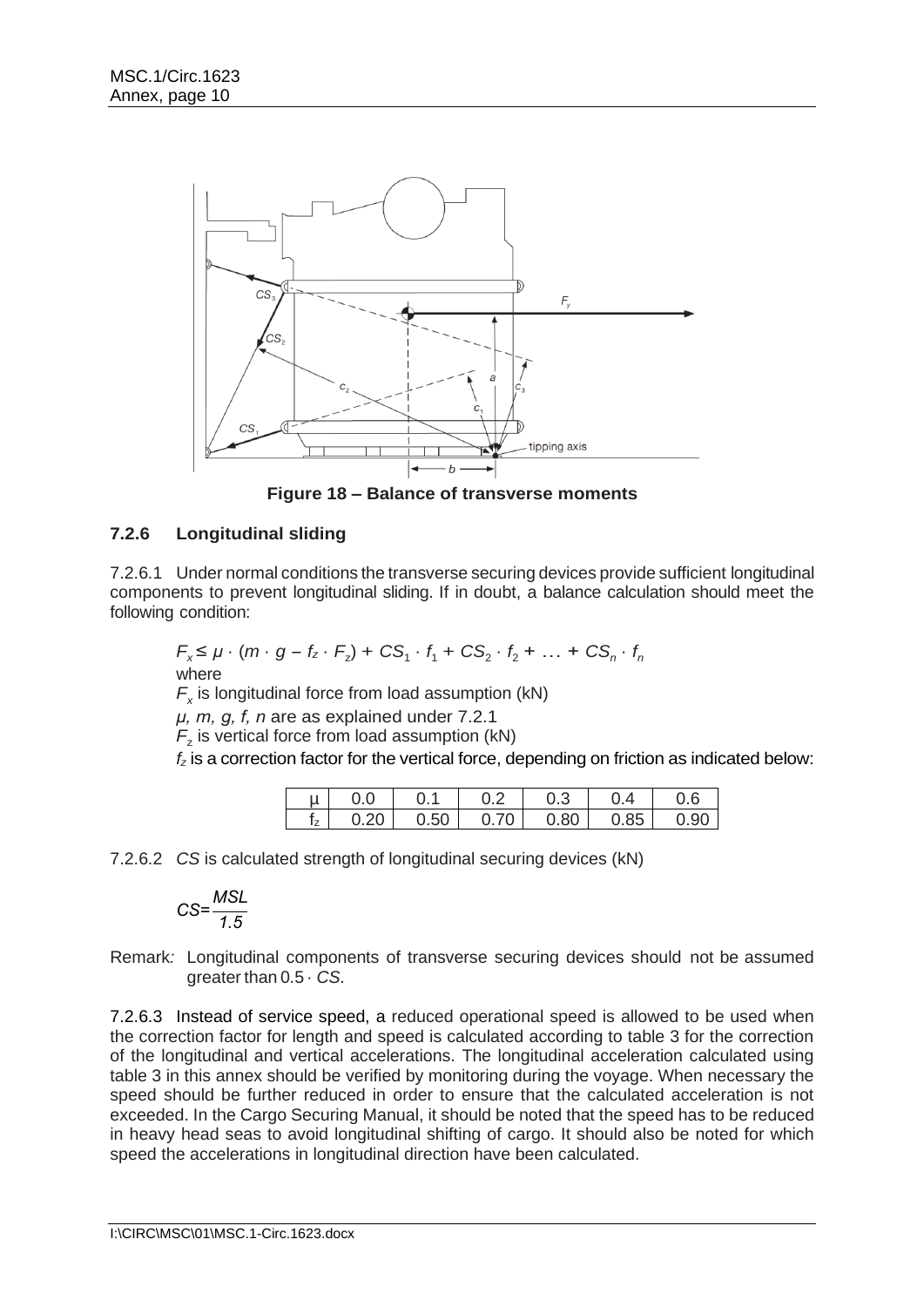

**Figure 18 – Balance of transverse moments**

# **7.2.6 Longitudinal sliding**

7.2.6.1 Under normal conditions the transverse securing devices provide sufficient longitudinal components to prevent longitudinal sliding. If in doubt, a balance calculation should meet the following condition:

$$
F_x \leq \mu \cdot (m \cdot g - f_z \cdot F_z) + CS_1 \cdot f_1 + CS_2 \cdot f_2 + \dots + CS_n \cdot f_n
$$
  
where

*Fx* is longitudinal force from load assumption (kN)

*μ, m, g, f, n* are as explained under 7.2.1

 $F<sub>z</sub>$  is vertical force from load assumption (kN)

*f<sup>z</sup>* is a correction factor for the vertical force, depending on friction as indicated below:

| น  |     |      |    | U.3  |      |      |
|----|-----|------|----|------|------|------|
| Iz | .20 | 0.50 | 70 | 0.80 | 0.85 | 0.90 |

7.2.6.2 *CS* is calculated strength of longitudinal securing devices (kN)

$$
CS = \frac{MSL}{1.5}
$$

Remark*:* Longitudinal components of transverse securing devices should not be assumed greater than 0.5 · *CS*.

7.2.6.3 Instead of service speed, a reduced operational speed is allowed to be used when the correction factor for length and speed is calculated according to table 3 for the correction of the longitudinal and vertical accelerations. The longitudinal acceleration calculated using table 3 in this annex should be verified by monitoring during the voyage. When necessary the speed should be further reduced in order to ensure that the calculated acceleration is not exceeded. In the Cargo Securing Manual, it should be noted that the speed has to be reduced in heavy head seas to avoid longitudinal shifting of cargo. It should also be noted for which speed the accelerations in longitudinal direction have been calculated.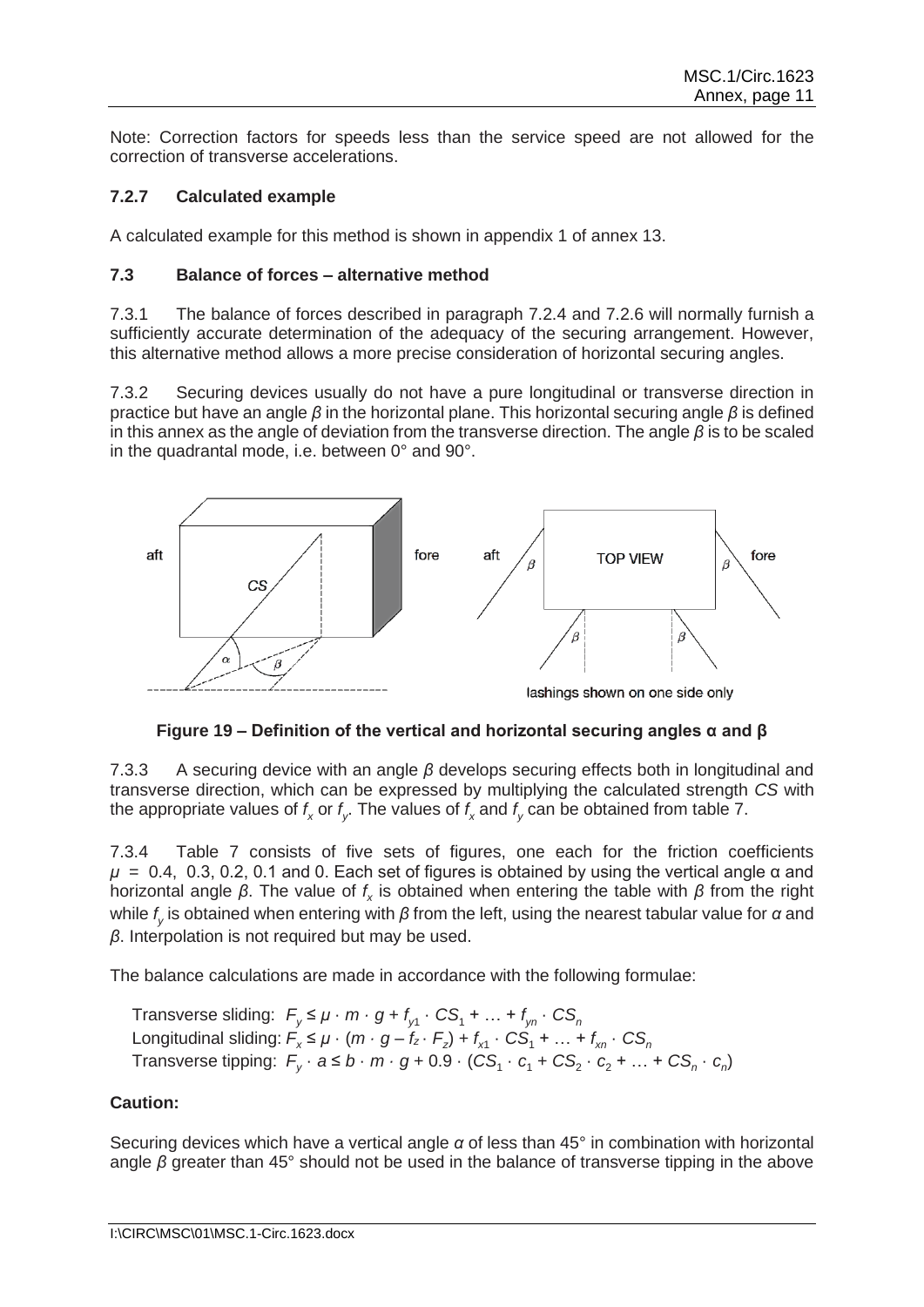Note: Correction factors for speeds less than the service speed are not allowed for the correction of transverse accelerations.

# **7.2.7 Calculated example**

A calculated example for this method is shown in appendix 1 of annex 13.

### **7.3 Balance of forces – alternative method**

7.3.1 The balance of forces described in paragraph 7.2.4 and 7.2.6 will normally furnish a sufficiently accurate determination of the adequacy of the securing arrangement. However, this alternative method allows a more precise consideration of horizontal securing angles.

7.3.2 Securing devices usually do not have a pure longitudinal or transverse direction in practice but have an angle *β* in the horizontal plane. This horizontal securing angle *β* is defined in this annex as the angle of deviation from the transverse direction. The angle *β* is to be scaled in the quadrantal mode, i.e. between 0° and 90°.



**Figure 19 – Definition of the vertical and horizontal securing angles α and β**

7.3.3 A securing device with an angle *β* develops securing effects both in longitudinal and transverse direction, which can be expressed by multiplying the calculated strength *CS* with the appropriate values of  $f_\mathsf{x}$  or  $f_\mathsf{y}.$  The values of  $f_\mathsf{x}$  and  $f_\mathsf{y}$  can be obtained from table 7.

7.3.4 Table 7 consists of five sets of figures, one each for the friction coefficients  $\mu = 0.4$ , 0.3, 0.2, 0.1 and 0. Each set of figures is obtained by using the vertical angle  $\alpha$  and horizontal angle *β*. The value of *f x* is obtained when entering the table with *β* from the right while *f y* is obtained when entering with *β* from the left, using the nearest tabular value for *α* and *β*. Interpolation is not required but may be used.

The balance calculations are made in accordance with the following formulae:

Transverse sliding:  $F_y \leq \mu \cdot m \cdot g + f_{y1} \cdot CS_1 + ... + f_{yn} \cdot CS_n$ Longitudinal sliding:  $F_x \leq \mu \cdot (m \cdot g - f_z \cdot F_z) + f_{x1} \cdot CS_1 + ... + f_{xn} \cdot CS_n$ Transverse tipping:  $F_y \cdot a \le b \cdot m \cdot g + 0.9 \cdot (CS_1 \cdot c_1 + CS_2 \cdot c_2 + ... + CS_n \cdot c_n)$ 

# **Caution:**

Securing devices which have a vertical angle *α* of less than 45° in combination with horizontal angle *β* greater than 45° should not be used in the balance of transverse tipping in the above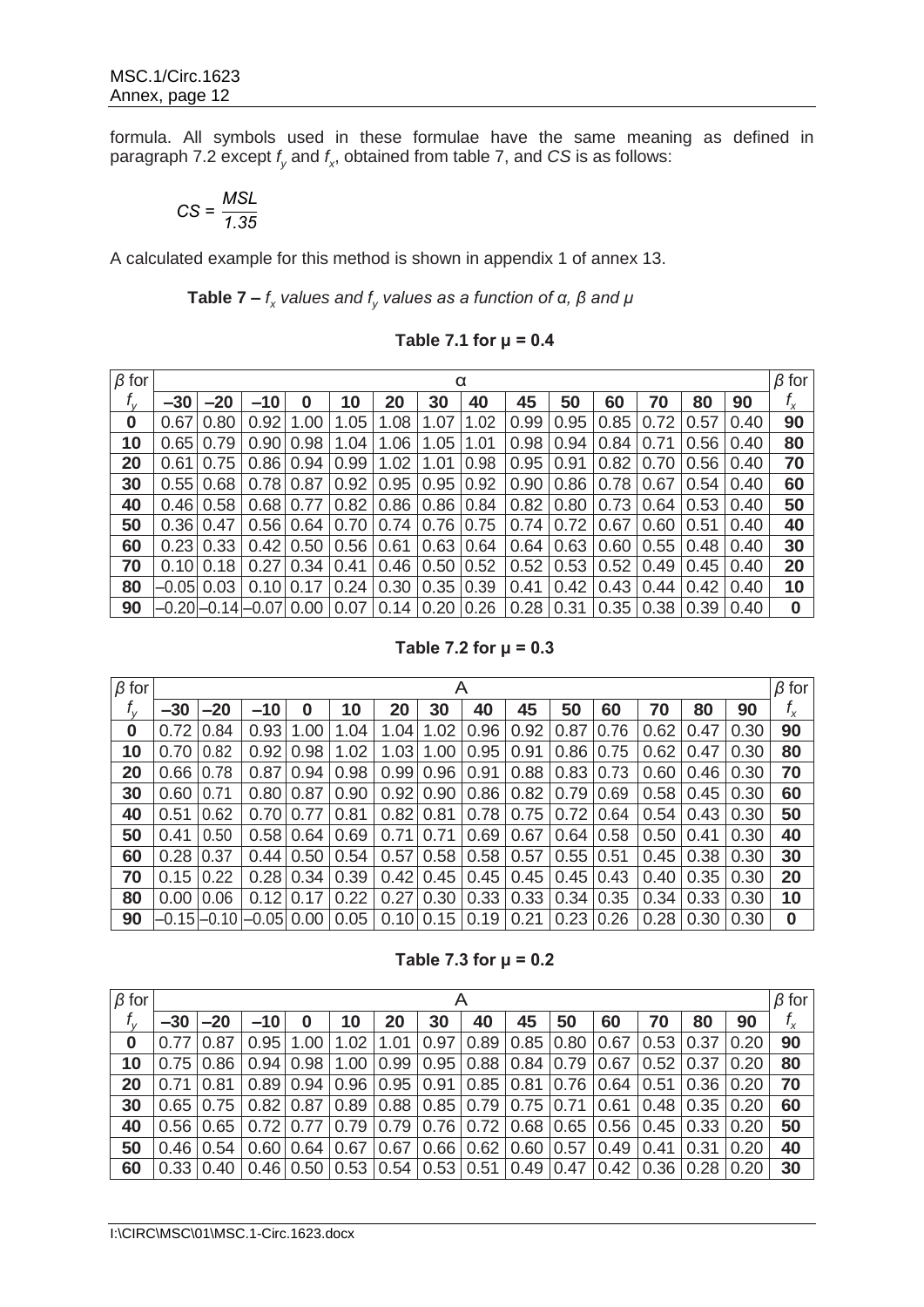formula. All symbols used in these formulae have the same meaning as defined in paragraph 7.2 except *f <sup>y</sup>* and *f x* , obtained from table 7, and *CS* is as follows:

$$
CS = \frac{MSL}{1.35}
$$

A calculated example for this method is shown in appendix 1 of annex 13.

**Table 7 –** *f x values and f<sup>y</sup> values as a function of α, β and μ*

**Table 7.1 for μ = 0.4**

| $\beta$ for      |       |                  |                   |                  |           |      |      | α    |      |      |      |      |      |      | $\beta$ for |
|------------------|-------|------------------|-------------------|------------------|-----------|------|------|------|------|------|------|------|------|------|-------------|
| $f_{\rm v}$      | $-30$ | $-20$            | $-10$             | 0                | 10        | 20   | 30   | 40   | 45   | 50   | 60   | 70   | 80   | 90   | $f_{\chi}$  |
| $\boldsymbol{0}$ | 0.67  | 0.80             | 0.92              | 1.00             | 1.05      | 1.08 | 1.07 | 1.02 | 0.99 | 0.95 | 0.85 | 0.72 | 0.57 | 0.40 | 90          |
| 10               | 0.65  | 0.79             | 0.90              | 0.98             | 1.04      | 1.06 | 1.05 | 1.01 | 0.98 | 0.94 | 0.84 | 0.71 | 0.56 | 0.40 | 80          |
| 20               | 0.61  | 0.75             | 0.86              | 0.94             | 0.99      | 1.02 | 1.01 | 0.98 | 0.95 | 0.91 | 0.82 | 0.70 | 0.56 | 0.40 | 70          |
| 30               |       | 0.55 0.68        |                   | $0.78 \mid 0.87$ | 0.92      | 0.95 | 0.95 | 0.92 | 0.90 | 0.86 | 0.78 | 0.67 | 0.54 | 0.40 | 60          |
| 40               |       | 0.46 0.58        | 0.68              | 0.77             | 0.82      | 0.86 | 0.86 | 0.84 | 0.82 | 0.80 | 0.73 | 0.64 | 0.53 | 0.40 | 50          |
| 50               | 0.36  | 0.47             | 0.56              | 0.64             | 0.70      | 0.74 | 0.76 | 0.75 | 0.74 | 0.72 | 0.67 | 0.60 | 0.51 | 0.40 | 40          |
| 60               |       | $0.23 \mid 0.33$ | 0.42              | 0.50             | 0.56 0.61 |      | 0.63 | 0.64 | 0.64 | 0.63 | 0.60 | 0.55 | 0.48 | 0.40 | 30          |
| 70               |       | 0.1010.18        | 0.27              | 0.34             | 0.41      | 0.46 | 0.50 | 0.52 | 0.52 | 0.53 | 0.52 | 0.49 | 0.45 | 0.40 | 20          |
| 80               |       | -0.05 0.03       | 0.10              | 0.17             | 0.24      | 0.30 | 0.35 | 0.39 | 0.41 | 0.42 | 0.43 | 0.44 | 0.42 | 0.40 | 10          |
| 90               |       |                  | –0.20 –0.14 –0.07 | 0.00             | 0.07      | 0.14 | 0.20 | 0.26 | 0.28 | 0.31 | 0.35 | 0.38 | 0.39 | 0.40 | $\bf{0}$    |

**Table 7.2 for μ = 0.3**

| $\beta$ for |       |                 |         |      |      |      | A    |      |      |      |      |      |      |      | $\beta$ for |
|-------------|-------|-----------------|---------|------|------|------|------|------|------|------|------|------|------|------|-------------|
| $f_{\rm v}$ | $-30$ | $-20$           | $-10$   | 0    | 10   | 20   | 30   | 40   | 45   | 50   | 60   | 70   | 80   | 90   | $f_{\chi}$  |
| 0           | 0.72  | .84<br>$\Omega$ | 0.93    | 1.00 | 1.04 | 1.04 | 1.02 | 0.96 | 0.92 | 0.87 | 0.76 | 0.62 | 0.47 | 0.30 | 90          |
| 10          | 0.70  | 0.82            | 0.92    | 0.98 | 1.02 | 1.03 | 1.00 | 0.95 | 0.91 | 0.86 | 0.75 | 0.62 | 0.47 | 0.30 | 80          |
| 20          | 0.66  | 0.78            | 0.87    | 0.94 | 0.98 | 0.99 | 0.96 | 0.91 | 0.88 | 0.83 | 0.73 | 0.60 | 0.46 | 0.30 | 70          |
| 30          | 0.60  | 0.71            | 0.80    | 0.87 | 0.90 | 0.92 | 0.90 | 0.86 | 0.82 | 0.79 | 0.69 | 0.58 | 0.45 | 0.30 | 60          |
| 40          | 0.51  | 0.62            | 0.70    | 0.77 | 0.81 | 0.82 | 0.81 | 0.78 | 0.75 | 0.72 | 0.64 | 0.54 | 0.43 | 0.30 | 50          |
| 50          | 0.41  | 0.50            | 0.58    | 0.64 | 0.69 | 0.71 | 0.71 | 0.69 | 0.67 | 0.64 | 0.58 | 0.50 | 0.41 | 0.30 | 40          |
| 60          | 0.28  | 0.37            | 0.44    | 0.50 | 0.54 | 0.57 | 0.58 | 0.58 | 0.57 | 0.55 | 0.51 | 0.45 | 0.38 | 0.30 | 30          |
| 70          | 0.15  | 0.22            | 0.28    | 0.34 | 0.39 | 0.42 | 0.45 | 0.45 | 0.45 | 0.45 | 0.43 | 0.40 | 0.35 | 0.30 | 20          |
| 80          | 0.00  | 0.06            | 0.12    | 0.17 | 0.22 | 0.27 | 0.30 | 0.33 | 0.33 | 0.34 | 0.35 | 0.34 | 0.33 | 0.30 | 10          |
| 90          |       | -0.15 –0.10     | $-0.05$ | 0.00 | 0.05 | 0.10 | 0.15 | 0.19 | 0.21 | 0.23 | 0.26 | 0.28 | 0.30 | 0.30 | 0           |

**Table 7.3 for μ = 0.2**

| $\beta$ for |             |                  |       |               |                                 |      | Α                                                                        |                             |    |           |                                                                              |                  |                    |      | $\beta$ for |
|-------------|-------------|------------------|-------|---------------|---------------------------------|------|--------------------------------------------------------------------------|-----------------------------|----|-----------|------------------------------------------------------------------------------|------------------|--------------------|------|-------------|
| $f_{\rm v}$ | $-30$       | $-20$            | $-10$ |               | 10                              | 20   | 30                                                                       | 40                          | 45 | 50        | 60                                                                           | 70               | 80                 | 90   | $f_{\chi}$  |
| $\bf{0}$    | $0.77$ 0.87 |                  |       | $0.95$   1.00 | 1.02                            | 1.01 | 0.97                                                                     | 0.89                        |    | 0.85 0.80 | 0.67                                                                         | 0.53             | 0.37               | 0.20 | 90          |
| 10          |             | 0.7510.86        |       |               | $0.94 \mid 0.98 \mid 1.00 \mid$ |      | $0.99$   0.95   0.88   0.84   0.79                                       |                             |    |           | 0.67                                                                         | $0.52 \mid 0.37$ |                    | 0.20 | 80          |
| 20          | 0.7110.81   |                  |       |               | $0.89$   0.94   0.96            |      | $\vert$ 0.95 $\vert$ 0.91 $\vert$ 0.85 $\vert$ 0.81 $\vert$ 0.76 $\vert$ |                             |    |           | 0.64                                                                         | 0.51             | $\vert 0.36 \vert$ | 0.20 | 70          |
| 30          |             | $0.65$ $ 0.75 $  |       |               | $0.82$   0.87   0.89            |      | $0.88$   0.85   0.79   0.75   0.71                                       |                             |    |           | 0.61                                                                         |                  | $0.48$ 0.35        | 0.20 | 60          |
| 40          |             | $0.56$ $0.65$    |       |               | $0.72$   0.77   0.79            |      | $0.79$   0.76   0.72   0.68   0.65                                       |                             |    |           | $0.56$ $0.45$ $0.33$ $ $                                                     |                  |                    | 0.20 | 50          |
| 50          |             | $0.46 \mid 0.54$ |       |               | $0.60$   0.64   0.67            | 0.67 |                                                                          | $0.66$   0.62   0.60   0.57 |    |           | $0.49 \mid 0.41$                                                             |                  | 0.31               | 0.20 | 40          |
| 60          |             | $0.33$   0.40    |       |               |                                 |      |                                                                          |                             |    |           | $0.46$   0.50   0.53   0.54   0.53   0.51   0.49   0.47   0.42   0.36   0.28 |                  |                    | 0.20 | 30          |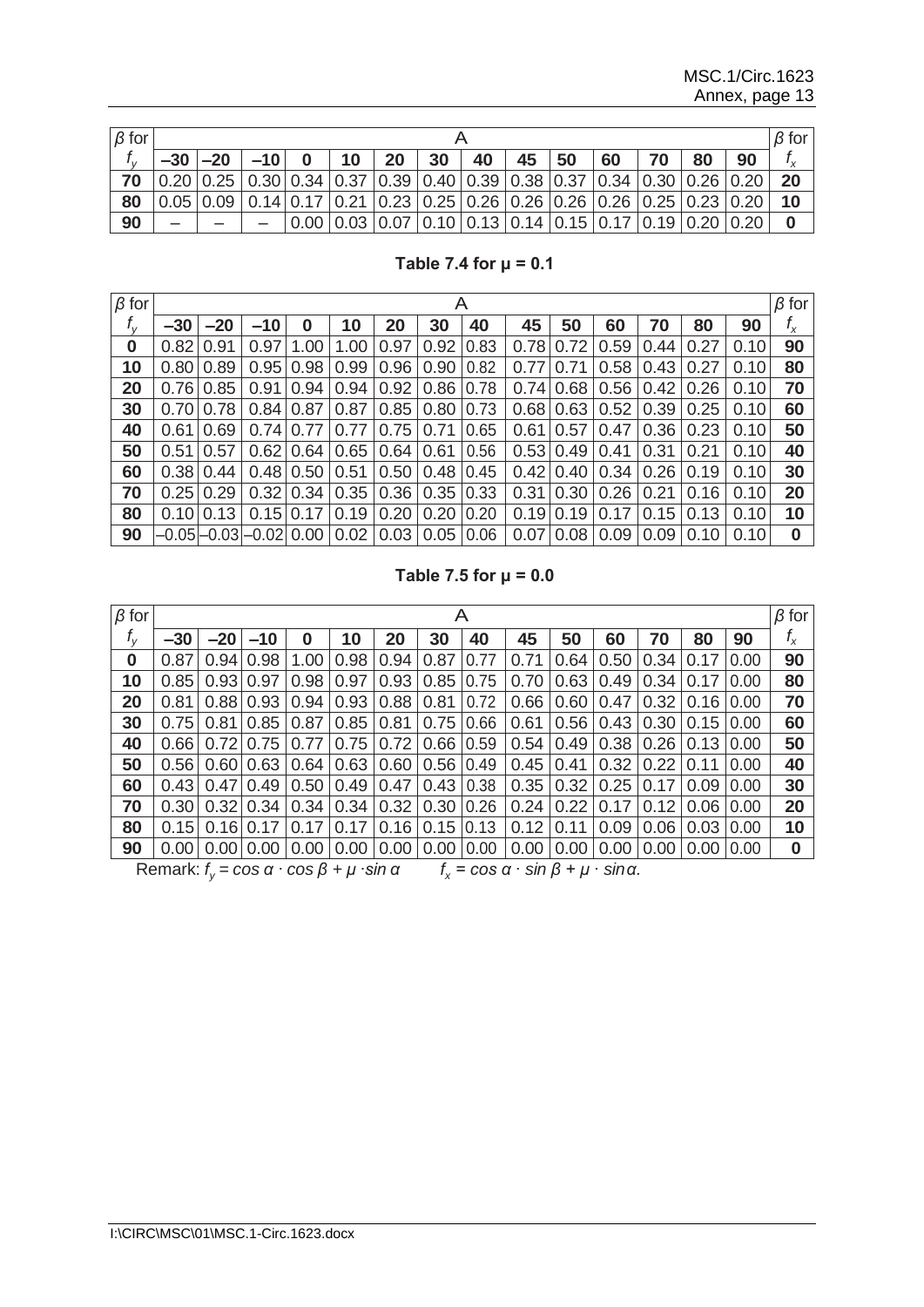| $\beta$ for |                                                                                                                                                                   |                                                                                                   |  |  |                                                                                                                            |  |       |    | $\beta$ for |    |    |    |    |     |            |
|-------------|-------------------------------------------------------------------------------------------------------------------------------------------------------------------|---------------------------------------------------------------------------------------------------|--|--|----------------------------------------------------------------------------------------------------------------------------|--|-------|----|-------------|----|----|----|----|-----|------------|
|             |                                                                                                                                                                   | $-30$ $ -20$ $ -10$ 0 10                                                                          |  |  |                                                                                                                            |  | 20 30 | 40 | 145         | 50 | 60 | 70 | 80 | 190 | $f_{\chi}$ |
| 70          | $\vert 0.20 \vert 0.25 \vert 0.30 \vert 0.34 \vert 0.37 \vert 0.39 \vert 0.40 \vert 0.39 \vert 0.38 \vert 0.37 \vert 0.34 \vert 0.30 \vert 0.26 \vert 0.20 \vert$ |                                                                                                   |  |  |                                                                                                                            |  |       |    |             |    |    |    |    |     | 20         |
| 80          |                                                                                                                                                                   | $0.05$   0.09   0.14   0.17   0.21   0.23   0.25   0.26   0.26   0.26   0.26   0.25   0.23   0.20 |  |  |                                                                                                                            |  |       |    |             |    |    |    |    |     | 10         |
| 90          |                                                                                                                                                                   |                                                                                                   |  |  | $\vert 0.00 \vert 0.03 \vert 0.07 \vert 0.10 \vert 0.13 \vert 0.14 \vert 0.15 \vert 0.17 \vert 0.19 \vert 0.20 \vert 0.20$ |  |       |    |             |    |    |    |    |     | $\bf{0}$   |

**Table 7.4 for μ = 0.1**

| $\beta$ for |       |                         |                  |                  |      |               | A           |      |      |                  |      |               |      |      | $\beta$ for |
|-------------|-------|-------------------------|------------------|------------------|------|---------------|-------------|------|------|------------------|------|---------------|------|------|-------------|
| $f_{\rm v}$ | $-30$ | $-20$                   | $-10$            | $\bf{0}$         | 10   | 20            | 30          | 40   | 45   | 50               | 60   | 70            | 80   | 90   | $f_{\chi}$  |
| 0           | 0.82  | 0.91                    | 0.97             | 1.00             | 1.00 | 0.97          | 0.92        | 0.83 | 0.78 | 0.72             | 0.59 | 0.44          | 0.27 | 0.10 | 90          |
| 10          | 0.80  | 0.89                    | 0.95             | 0.98             | 0.99 | 0.96          | 0.90        | 0.82 | 0.77 | 0.71             | 0.58 | 0.43          | 0.27 | 0.10 | 80          |
| 20          | 0.76  | 0.85                    | 0.91             | 0.94             | 0.94 | 0.92          | 0.86        | 0.78 |      | $0.74 \mid 0.68$ |      | $0.56$   0.42 | 0.26 | 0.10 | 70          |
| 30          | 0.70  | 0.78                    | $0.84 \mid 0.87$ |                  | 0.87 | 0.85          | 0.80        | 0.73 |      | $0.68$ 0.63      |      | $0.52$   0.39 | 0.25 | 0.10 | 60          |
| 40          | 0.61  | 0.69                    |                  | $0.74 \mid 0.77$ | 0.77 | 0.75          | 0.71        | 0.65 | 0.61 | 0.57             | 0.47 | 0.36          | 0.23 | 0.10 | 50          |
| 50          | 0.51  | 0.57                    |                  | $0.62 \mid 0.64$ |      | $0.65$   0.64 | 0.61        | 0.56 |      | $0.53 \mid 0.49$ | 0.41 | 0.31          | 0.21 | 0.10 | 40          |
| 60          | 0.38  | 0.44                    |                  | $0.48 \mid 0.50$ | 0.51 | 0.50          | 0.48        | 0.45 | 0.42 | 0.40             | 0.34 | 0.26          | 0.19 | 0.10 | 30          |
| 70          | 0.25  | 0.29                    |                  | $0.32 \mid 0.34$ | 0.35 | 0.36          | 0.35        | 0.33 | 0.31 | 0.30             | 0.26 | 0.21          | 0.16 | 0.10 | 20          |
| 80          | 0.10  | 0.13                    |                  | $0.15 \mid 0.17$ | 0.19 | 0.20          | 0.20        | 0.20 | 0.19 | 0.19             | 0.17 | 0.15          | 0.13 | 0.10 | 10          |
| 90          |       | –0.05 –0.03 –0.02  0.00 |                  |                  |      | $0.02$   0.03 | 0.05   0.06 |      | 0.07 | 0.08             | 0.09 | 0.09          | 0.10 | 0.10 | $\bf{0}$    |

**Table 7.5 for μ = 0.0**

| $\beta$ for |                                                                      |           |                 |                            |      |                                      | A                    |      |      |      |                                                                |      |                                   |      | $\beta$ for |
|-------------|----------------------------------------------------------------------|-----------|-----------------|----------------------------|------|--------------------------------------|----------------------|------|------|------|----------------------------------------------------------------|------|-----------------------------------|------|-------------|
| $f_{\rm v}$ | $-30$                                                                | $-20$     | $-10$           | 0                          | 10   | 20                                   | 30                   | 40   | 45   | 50   | 60                                                             | 70   | 80                                | 90   | $f_{\chi}$  |
| 0           | 0.87                                                                 | 0.94      | 0.98            | 1.00                       | 0.98 | 0.94                                 | 0.87                 | 0.77 | 0.71 | 0.64 | 0.50                                                           | 0.34 | 0.17                              | 0.00 | 90          |
| 10          | 0.85                                                                 | 0.93      | 0.97            | 0.98                       | 0.97 | 0.93                                 | 0.85                 | 0.75 | 0.70 | 0.63 | 0.49                                                           | 0.34 | 10.17                             | 0.00 | 80          |
| 20          | 0.81                                                                 |           | $0.88$   $0.93$ | 0.94                       | 0.93 | $0.88 \mid 0.81$                     |                      | 0.72 | 0.66 | 0.60 | 0.47                                                           |      | $0.32$   0.16                     | 0.00 | 70          |
| 30          | 0.75                                                                 | 0.81      | 0.85            | 0.87                       | 0.85 | 0.81                                 | 0.75                 | 0.66 | 0.61 | 0.56 | 0.43                                                           |      | $0.30$ $0.15$ $\vert$             | 0.00 | 60          |
| 40          | 0.66                                                                 | 0.72      | 0.75            | 0.77                       | 0.75 | 0.72                                 | 0.66                 | 0.59 | 0.54 | 0.49 | 0.38                                                           |      | $0.26$ 0.13                       | 0.00 | 50          |
| 50          | 0.56                                                                 |           | 0.6010.631      | 0.64                       | 0.63 |                                      | $0.60$   0.56        | 0.49 | 0.45 | 0.41 | 0.32                                                           | 0.22 | 10.11                             | 0.00 | 40          |
| 60          | 0.43                                                                 |           | $0.47$   0.49   | 0.50                       |      | $0.49$   $0.47$   $0.43$   $0.38$    |                      |      | 0.35 | 0.32 | 0.25                                                           | 0.17 | 0.09                              | 0.00 | 30          |
| 70          | 0.30                                                                 |           |                 | $0.32 \mid 0.34 \mid 0.34$ |      | $0.34 \mid 0.32 \mid 0.30 \mid 0.26$ |                      |      | 0.24 | 0.22 | 0.17                                                           | 0.12 | 0.06                              | 0.00 | 20          |
| 80          | 0.15                                                                 | 0.16 0.17 |                 | 0.17                       | 0.17 |                                      | $0.16$   0.15   0.13 |      | 0.12 | 0.11 | 0.09                                                           |      | $0.06$   0.03                     | 0.00 | 10          |
| 90          | 0.001                                                                |           | 0.00 0.00       | 0.00                       |      | $0.00$   $0.00$   $0.00$   $0.00$    |                      |      | 0.00 | 0.00 |                                                                |      | $0.00$   $0.00$   $0.00$   $0.00$ |      | $\bf{0}$    |
|             | Remark: $f_v = \cos \alpha \cdot \cos \beta + \mu \cdot \sin \alpha$ |           |                 |                            |      |                                      |                      |      |      |      | $f_r = \cos \alpha \cdot \sin \beta + \mu \cdot \sin \alpha$ . |      |                                   |      |             |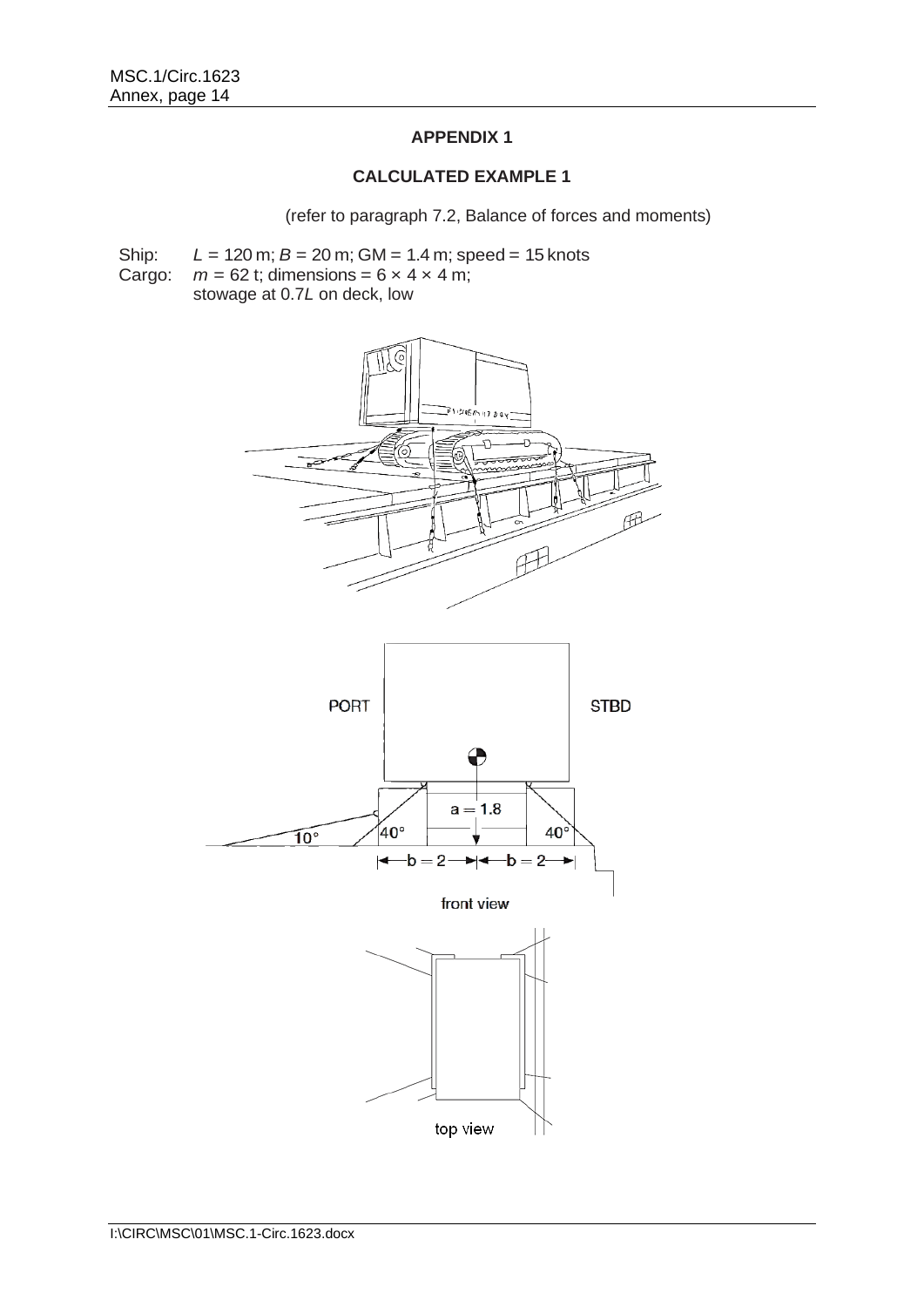# **APPENDIX 1**

### **CALCULATED EXAMPLE 1**

(refer to paragraph 7.2, Balance of forces and moments)

Ship: *L* = 120 m; *B* = 20 m; GM = 1.4 m; speed = 15 knots

Cargo:  $m = 62$  t; dimensions =  $6 \times 4 \times 4$  m;

stowage at 0.7*L* on deck, low



front view

 $\leftarrow b = 2 \rightarrow \leftarrow b = 2 \rightarrow$ 

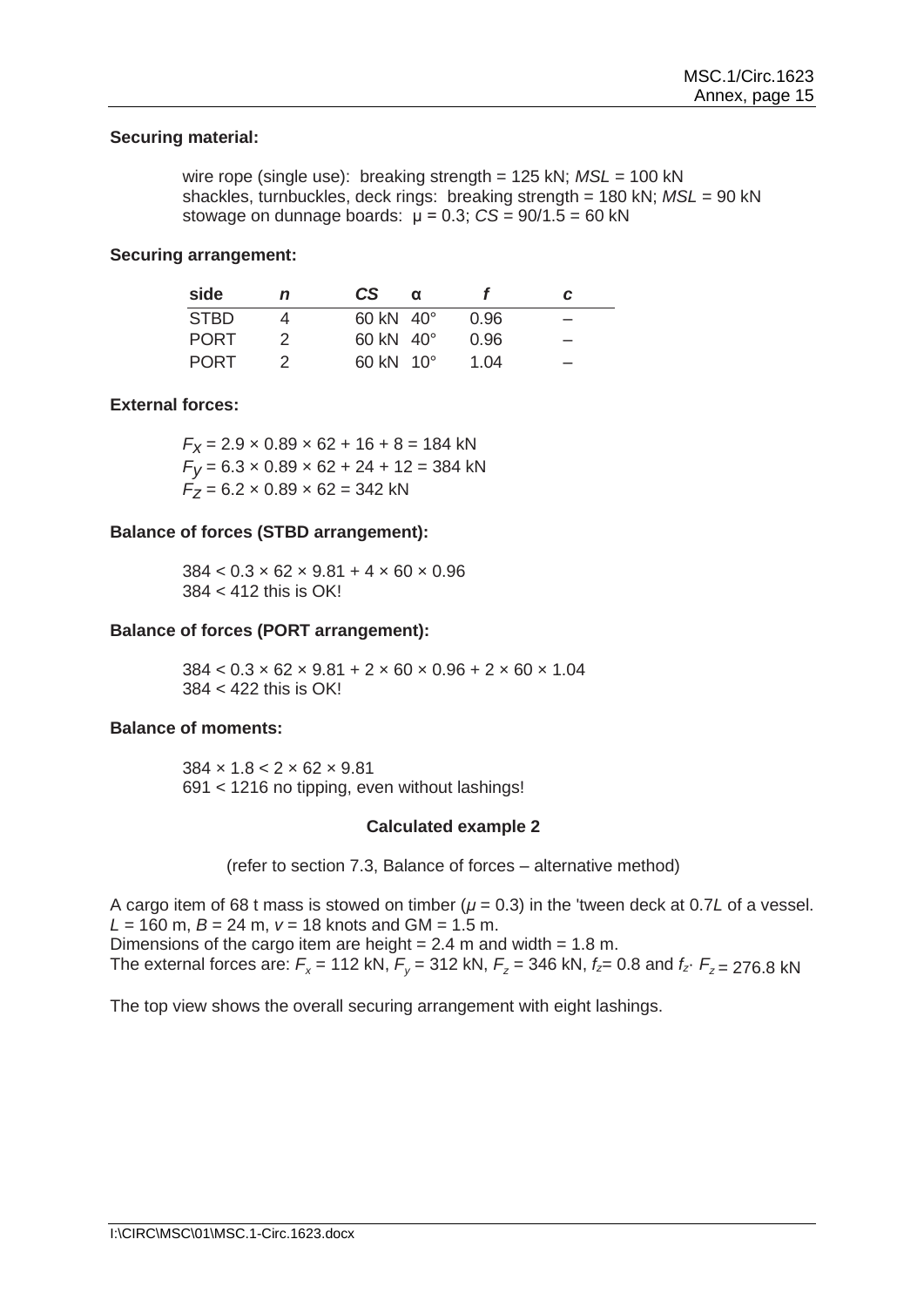### **Securing material:**

wire rope (single use): breaking strength = 125 kN;  $MSL = 100$  kN shackles, turnbuckles, deck rings: breaking strength = 180 kN; *MSL* = 90 kN stowage on dunnage boards: μ = 0.3; *CS* = 90/1.5 = 60 kN

#### **Securing arrangement:**

| side        | n | CS.                           | $\alpha$ |      | C |
|-------------|---|-------------------------------|----------|------|---|
| <b>STBD</b> |   | $60 \text{ kN}$ 40 $^{\circ}$ |          | 0.96 |   |
| <b>PORT</b> |   | $60 \text{ kN}$ 40 $^{\circ}$ |          | 0.96 |   |
| <b>PORT</b> |   | $60 \text{ kN}$ 10 $^{\circ}$ |          | 1.04 |   |

### **External forces:**

 $F_X$  = 2.9  $\times$  0.89  $\times$  62 + 16 + 8 = 184 kN  $F_V = 6.3 \times 0.89 \times 62 + 24 + 12 = 384$  kN  $F_Z = 6.2 \times 0.89 \times 62 = 342$  kN

### **Balance of forces (STBD arrangement):**

 $384 < 0.3 \times 62 \times 9.81 + 4 \times 60 \times 0.96$ 384 < 412 this is OK!

### **Balance of forces (PORT arrangement):**

 $384 < 0.3 \times 62 \times 9.81 + 2 \times 60 \times 0.96 + 2 \times 60 \times 1.04$ 384 < 422 this is OK!

#### **Balance of moments:**

 $384 \times 1.8 < 2 \times 62 \times 9.81$ 691 < 1216 no tipping, even without lashings!

#### **Calculated example 2**

(refer to section 7.3, Balance of forces – alternative method)

A cargo item of 68 t mass is stowed on timber (*μ* = 0.3) in the 'tween deck at 0.7*L* of a vessel.  $L = 160$  m,  $B = 24$  m,  $v = 18$  knots and GM = 1.5 m. Dimensions of the cargo item are height  $= 2.4$  m and width  $= 1.8$  m. The external forces are:  $F_x = 112$  kN,  $F_y = 312$  kN,  $F_z = 346$  kN,  $f_z = 0.8$  and  $f_z \cdot F_z = 276.8$  kN

The top view shows the overall securing arrangement with eight lashings.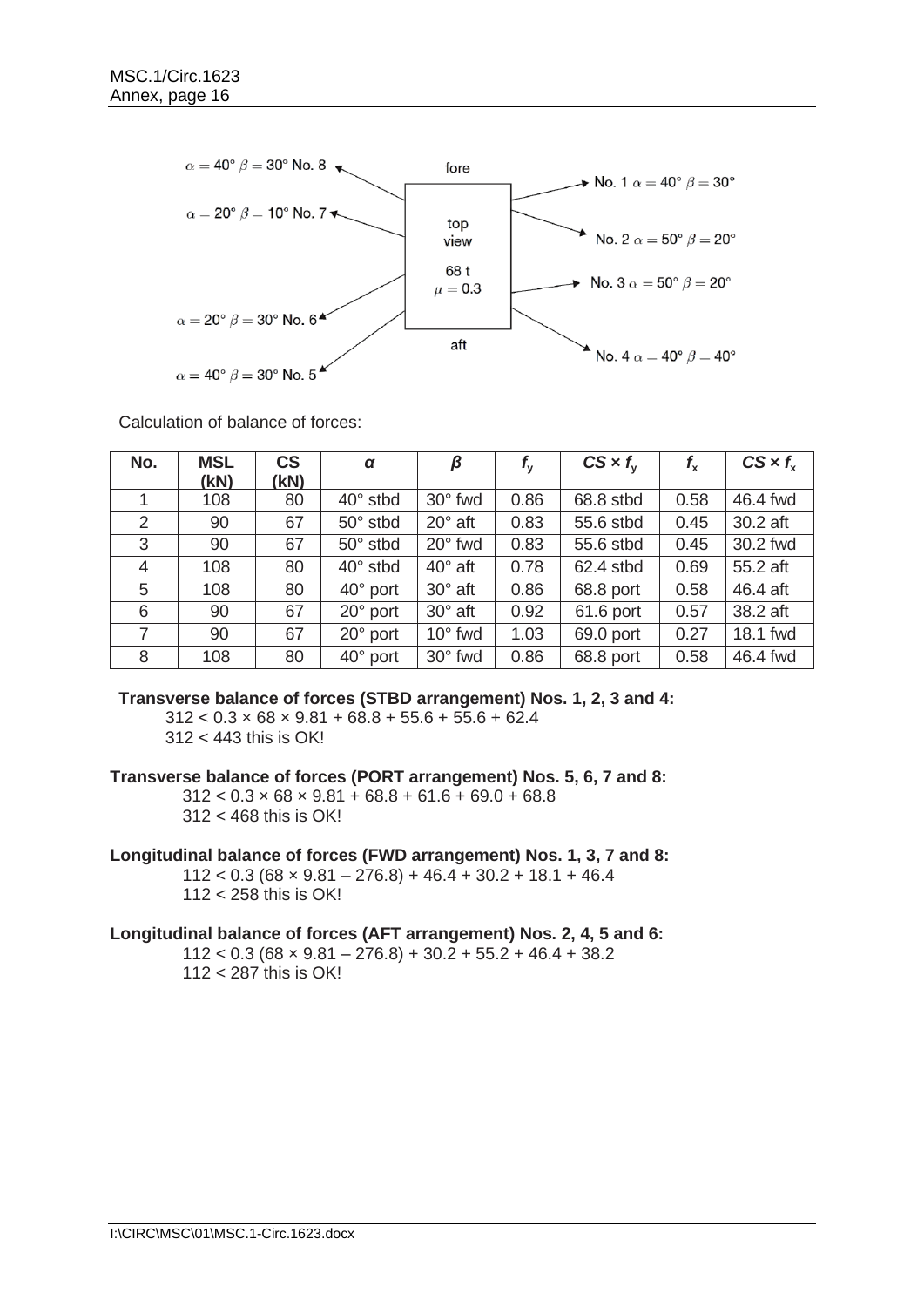

Calculation of balance of forces:

| No.            | <b>MSL</b> | <b>CS</b> | $\alpha$          | β                | $f_{\rm v}$ | $CS \times f_{v}$ | $f_{\rm x}$ | $CS \times f_{\rm x}$ |
|----------------|------------|-----------|-------------------|------------------|-------------|-------------------|-------------|-----------------------|
|                | (KN)       | (kN)      |                   |                  |             |                   |             |                       |
|                | 108        | 80        | $40^{\circ}$ stbd | 30° fwd          | 0.86        | 68.8 stbd         | 0.58        | 46.4 fwd              |
| 2              | 90         | 67        | 50° stbd          | $20^\circ$ aft   | 0.83        | 55.6 stbd         | 0.45        | 30.2 aft              |
| 3              | 90         | 67        | $50^\circ$ stbd   | $20^\circ$ fwd   | 0.83        | 55.6 stbd         | 0.45        | 30.2 fwd              |
| 4              | 108        | 80        | $40^{\circ}$ stbd | $40^\circ$ aft   | 0.78        | 62.4 stbd         | 0.69        | 55.2 aft              |
| 5              | 108        | 80        | $40^{\circ}$ port | $30^\circ$ aft   | 0.86        | 68.8 port         | 0.58        | 46.4 aft              |
| 6              | 90         | 67        | 20° port          | $30^\circ$ aft   | 0.92        | 61.6 port         | 0.57        | 38.2 aft              |
| $\overline{7}$ | 90         | 67        | $20^{\circ}$ port | $10^{\circ}$ fwd | 1.03        | 69.0 port         | 0.27        | 18.1 fwd              |
| 8              | 108        | 80        | $40^{\circ}$ port | 30° fwd          | 0.86        | 68.8 port         | 0.58        | 46.4 fwd              |

**Transverse balance of forces (STBD arrangement) Nos. 1, 2, 3 and 4:**

 $312 < 0.3 \times 68 \times 9.81 + 68.8 + 55.6 + 55.6 + 62.4$ 312 < 443 this is OK!

**Transverse balance of forces (PORT arrangement) Nos. 5, 6, 7 and 8:**

 $312 < 0.3 \times 68 \times 9.81 + 68.8 + 61.6 + 69.0 + 68.8$ 312 < 468 this is OK!

**Longitudinal balance of forces (FWD arrangement) Nos. 1, 3, 7 and 8:**  $112 < 0.3$  (68 x 9.81 – 276.8) + 46.4 + 30.2 + 18.1 + 46.4 112 < 258 this is OK!

**Longitudinal balance of forces (AFT arrangement) Nos. 2, 4, 5 and 6:**

 $112 < 0.3$  (68 x 9.81 – 276.8) + 30.2 + 55.2 + 46.4 + 38.2 112 < 287 this is OK!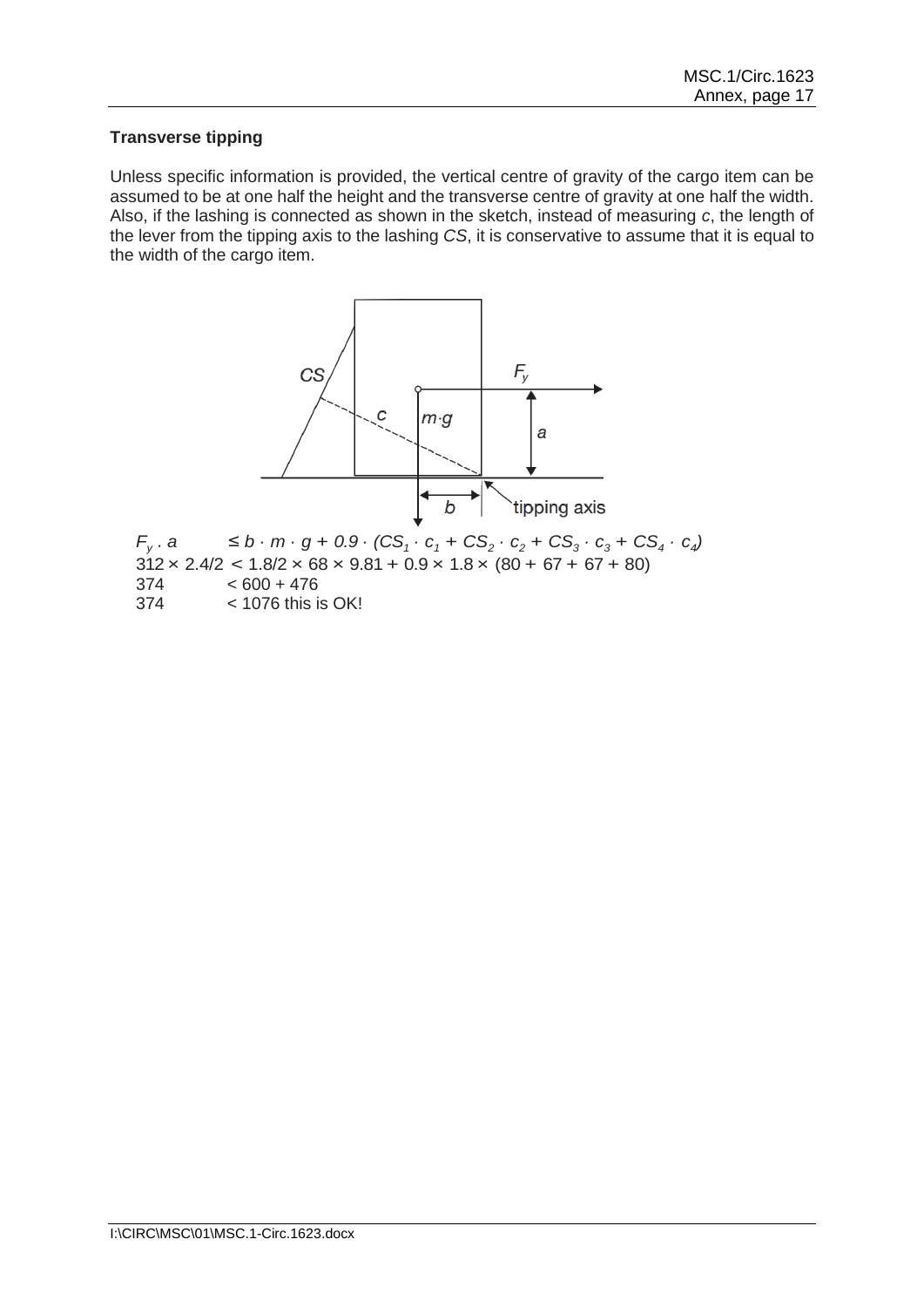# **Transverse tipping**

Unless specific information is provided, the vertical centre of gravity of the cargo item can be assumed to be at one half the height and the transverse centre of gravity at one half the width. Also, if the lashing is connected as shown in the sketch, instead of measuring *c*, the length of the lever from the tipping axis to the lashing *CS*, it is conservative to assume that it is equal to the width of the cargo item.

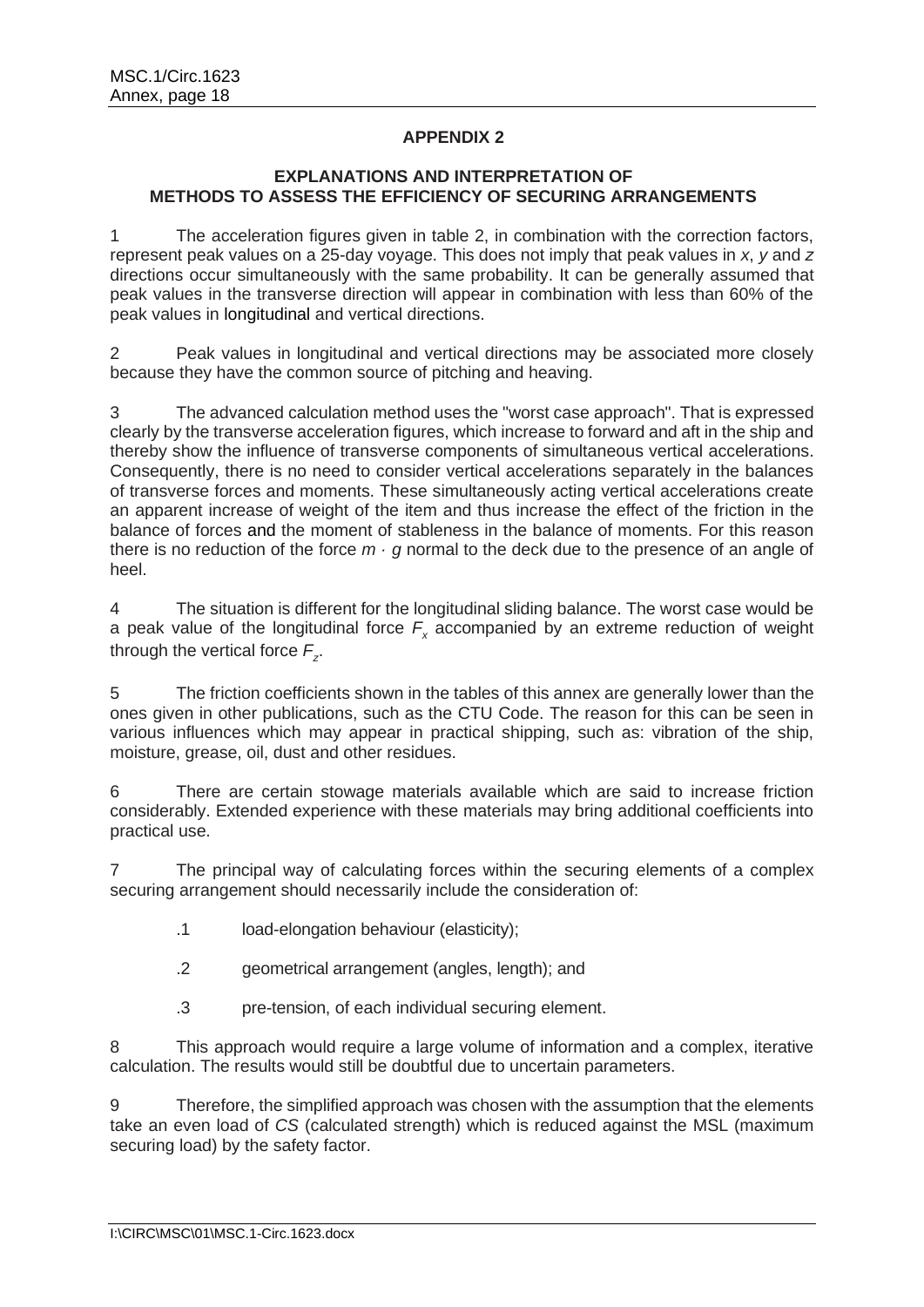# **APPENDIX 2**

# **EXPLANATIONS AND INTERPRETATION OF METHODS TO ASSESS THE EFFICIENCY OF SECURING ARRANGEMENTS**

The acceleration figures given in table 2, in combination with the correction factors, represent peak values on a 25-day voyage. This does not imply that peak values in *x*, *y* and *z*  directions occur simultaneously with the same probability. It can be generally assumed that peak values in the transverse direction will appear in combination with less than 60% of the peak values in longitudinal and vertical directions.

2 Peak values in longitudinal and vertical directions may be associated more closely because they have the common source of pitching and heaving.

3 The advanced calculation method uses the "worst case approach". That is expressed clearly by the transverse acceleration figures, which increase to forward and aft in the ship and thereby show the influence of transverse components of simultaneous vertical accelerations. Consequently, there is no need to consider vertical accelerations separately in the balances of transverse forces and moments. These simultaneously acting vertical accelerations create an apparent increase of weight of the item and thus increase the effect of the friction in the balance of forces and the moment of stableness in the balance of moments. For this reason there is no reduction of the force  $m \cdot q$  normal to the deck due to the presence of an angle of heel.

4 The situation is different for the longitudinal sliding balance. The worst case would be a peak value of the longitudinal force *F<sup>x</sup>* accompanied by an extreme reduction of weight through the vertical force *F<sup>z</sup>* .

5 The friction coefficients shown in the tables of this annex are generally lower than the ones given in other publications, such as the CTU Code. The reason for this can be seen in various influences which may appear in practical shipping, such as: vibration of the ship, moisture, grease, oil, dust and other residues.

6 There are certain stowage materials available which are said to increase friction considerably. Extended experience with these materials may bring additional coefficients into practical use.

7 The principal way of calculating forces within the securing elements of a complex securing arrangement should necessarily include the consideration of:

- .1 load-elongation behaviour (elasticity);
- .2 geometrical arrangement (angles, length); and
- .3 pre-tension, of each individual securing element.

8 This approach would require a large volume of information and a complex, iterative calculation. The results would still be doubtful due to uncertain parameters.

9 Therefore, the simplified approach was chosen with the assumption that the elements take an even load of *CS* (calculated strength) which is reduced against the MSL (maximum securing load) by the safety factor.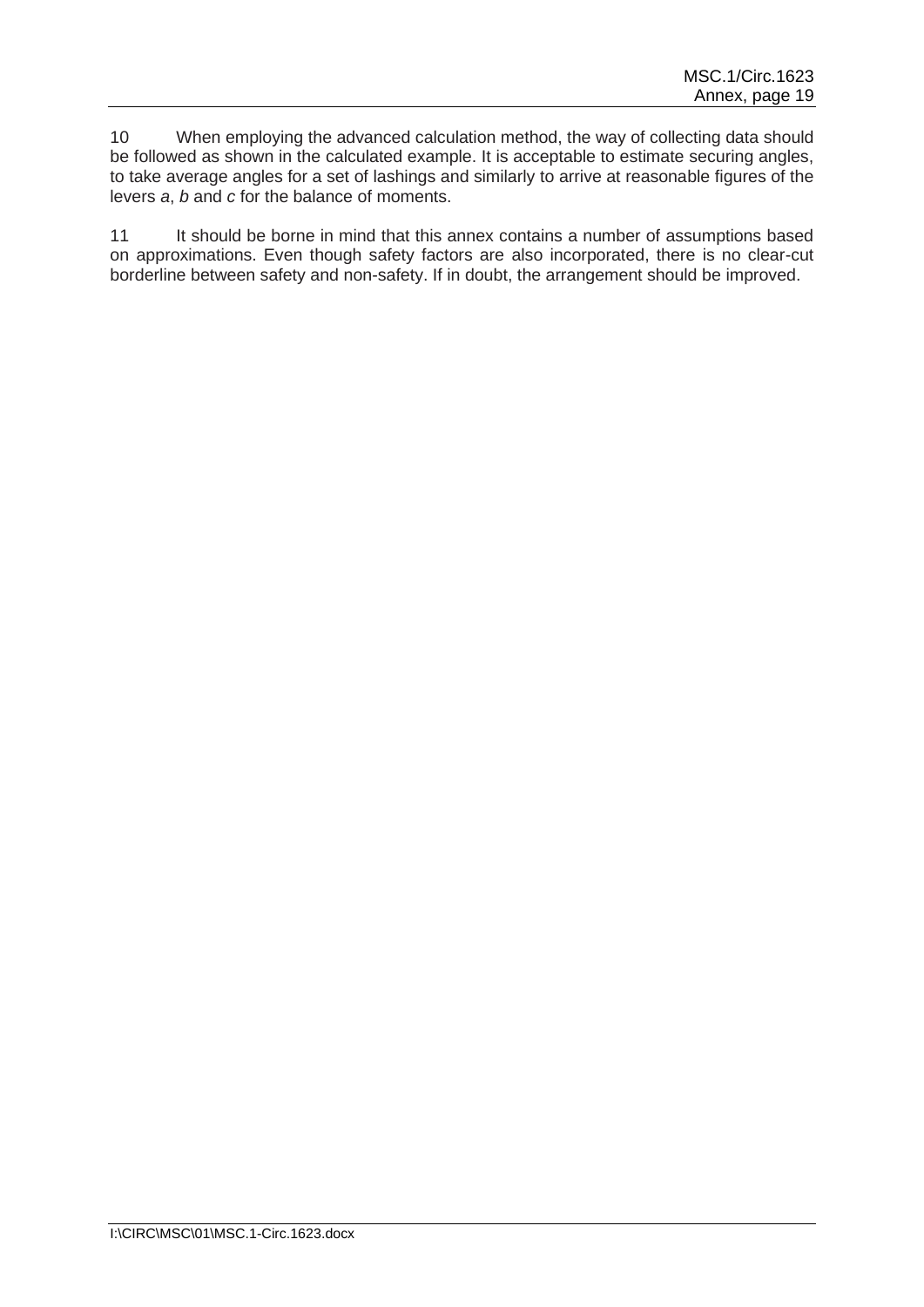10 When employing the advanced calculation method, the way of collecting data should be followed as shown in the calculated example. It is acceptable to estimate securing angles, to take average angles for a set of lashings and similarly to arrive at reasonable figures of the levers *a*, *b* and *c* for the balance of moments.

11 It should be borne in mind that this annex contains a number of assumptions based on approximations. Even though safety factors are also incorporated, there is no clear-cut borderline between safety and non-safety. If in doubt, the arrangement should be improved.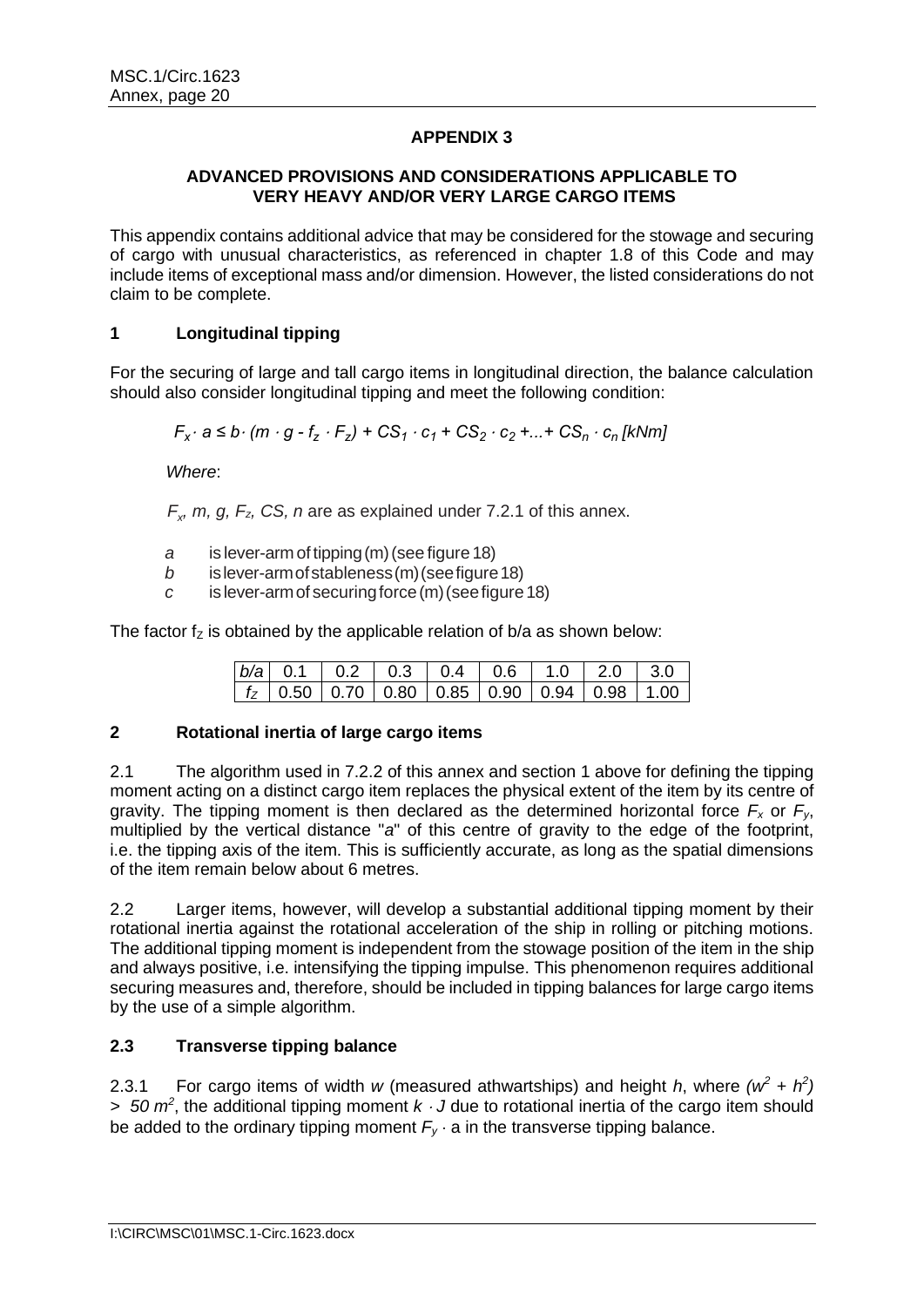# **APPENDIX 3**

## **ADVANCED PROVISIONS AND CONSIDERATIONS APPLICABLE TO VERY HEAVY AND/OR VERY LARGE CARGO ITEMS**

This appendix contains additional advice that may be considered for the stowage and securing of cargo with unusual characteristics, as referenced in chapter 1.8 of this Code and may include items of exceptional mass and/or dimension. However, the listed considerations do not claim to be complete.

# **1 Longitudinal tipping**

For the securing of large and tall cargo items in longitudinal direction, the balance calculation should also consider longitudinal tipping and meet the following condition:

 $F_x \cdot a \le b \cdot (m \cdot g - f_z \cdot F_z) + CS_1 \cdot c_1 + CS_2 \cdot c_2 + ... + CS_n \cdot c_n$  [kNm]

*Where*:

 $F_x$ , *m, g, F<sub>z</sub>, CS, n* are as explained under 7.2.1 of this annex.

- *a* is lever-arm of tipping(m)(see figure 18)
- *b* is lever-arm of stableness (m) (see figure 18)
- *c* is lever-armof securingforce(m)(seefigure18)

The factor  $f_z$  is obtained by the applicable relation of b/a as shown below:

|  |  |  | $\lceil t_z \rceil$ 0.50   0.70   0.80   0.85   0.90   0.94   0.98   1.00 |  |
|--|--|--|---------------------------------------------------------------------------|--|

# **2 Rotational inertia of large cargo items**

2.1 The algorithm used in 7.2.2 of this annex and section 1 above for defining the tipping moment acting on a distinct cargo item replaces the physical extent of the item by its centre of gravity. The tipping moment is then declared as the determined horizontal force *F<sup>x</sup>* or *Fy*, multiplied by the vertical distance "*a*" of this centre of gravity to the edge of the footprint, i.e. the tipping axis of the item. This is sufficiently accurate, as long as the spatial dimensions of the item remain below about 6 metres.

2.2 Larger items, however, will develop a substantial additional tipping moment by their rotational inertia against the rotational acceleration of the ship in rolling or pitching motions. The additional tipping moment is independent from the stowage position of the item in the ship and always positive, i.e. intensifying the tipping impulse. This phenomenon requires additional securing measures and, therefore, should be included in tipping balances for large cargo items by the use of a simple algorithm.

# **2.3 Transverse tipping balance**

2.3.1 For cargo items of width *w* (measured athwartships) and height *h*, where  $(w^2 + h^2)$ *> 50 m<sup>2</sup>* , the additional tipping moment *k J* due to rotational inertia of the cargo item should be added to the ordinary tipping moment  $F_v \cdot a$  in the transverse tipping balance.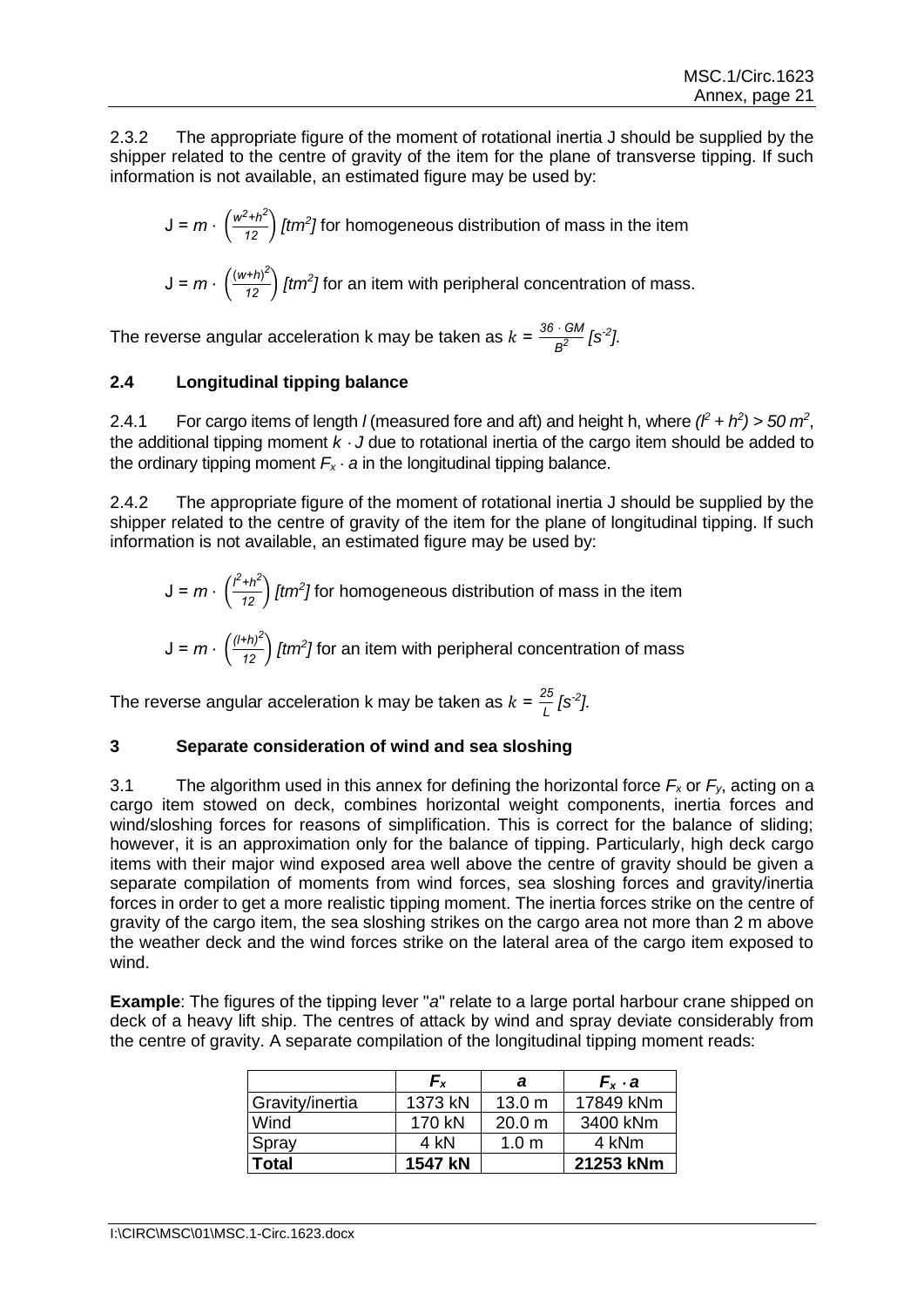2.3.2 The appropriate figure of the moment of rotational inertia J should be supplied by the shipper related to the centre of gravity of the item for the plane of transverse tipping. If such information is not available, an estimated figure may be used by:

$$
J = m \cdot \left(\frac{w^2 + h^2}{12}\right) [tm^2] \text{ for homogeneous distribution of mass in the item}
$$

$$
J = m \cdot \left(\frac{(w+h)^2}{12}\right) [tm^2] \text{ for an item with peripheral concentration of mass.}
$$

The reverse angular acceleration k may be taken as  $k = \frac{36 \cdot GM}{2}$  $\frac{1}{B^2}$  [s<sup>-2</sup>].

# **2.4 Longitudinal tipping balance**

2.4.1 For cargo items of length *l* (measured fore and aft) and height h, where  $(l^2 + h^2) > 50 m^2$ , the additional tipping moment *k J* due to rotational inertia of the cargo item should be added to the ordinary tipping moment  $F_x \cdot a$  in the longitudinal tipping balance.

2.4.2 The appropriate figure of the moment of rotational inertia J should be supplied by the shipper related to the centre of gravity of the item for the plane of longitudinal tipping. If such information is not available, an estimated figure may be used by:

$$
J = m \cdot \left(\frac{l^2 + h^2}{12}\right) [tm^2] \text{ for homogeneous distribution of mass in the item}
$$
  

$$
J = m \cdot \left(\frac{(l+h)^2}{12}\right) [tm^2] \text{ for an item with peripheral concentration of mass}
$$

The reverse angular acceleration k may be taken as  $k = \frac{25}{l}$  $\frac{25}{L}$  [s<sup>2</sup>].

# **3 Separate consideration of wind and sea sloshing**

3.1 The algorithm used in this annex for defining the horizontal force  $F_x$  or  $F_y$ , acting on a cargo item stowed on deck, combines horizontal weight components, inertia forces and wind/sloshing forces for reasons of simplification. This is correct for the balance of sliding; however, it is an approximation only for the balance of tipping. Particularly, high deck cargo items with their major wind exposed area well above the centre of gravity should be given a separate compilation of moments from wind forces, sea sloshing forces and gravity/inertia forces in order to get a more realistic tipping moment. The inertia forces strike on the centre of gravity of the cargo item, the sea sloshing strikes on the cargo area not more than 2 m above the weather deck and the wind forces strike on the lateral area of the cargo item exposed to wind.

**Example**: The figures of the tipping lever "*a*" relate to a large portal harbour crane shipped on deck of a heavy lift ship. The centres of attack by wind and spray deviate considerably from the centre of gravity. A separate compilation of the longitudinal tipping moment reads:

|                 | $F_{x}$ | а                 | $F_x \cdot a$ |
|-----------------|---------|-------------------|---------------|
| Gravity/inertia | 1373 kN | 13.0 <sub>m</sub> | 17849 kNm     |
| Wind            | 170 kN  | 20.0 m            | 3400 kNm      |
| Spray           | 4 kN    | 1.0 <sub>m</sub>  | 4 kNm         |
| Total           | 1547 kN |                   | 21253 kNm     |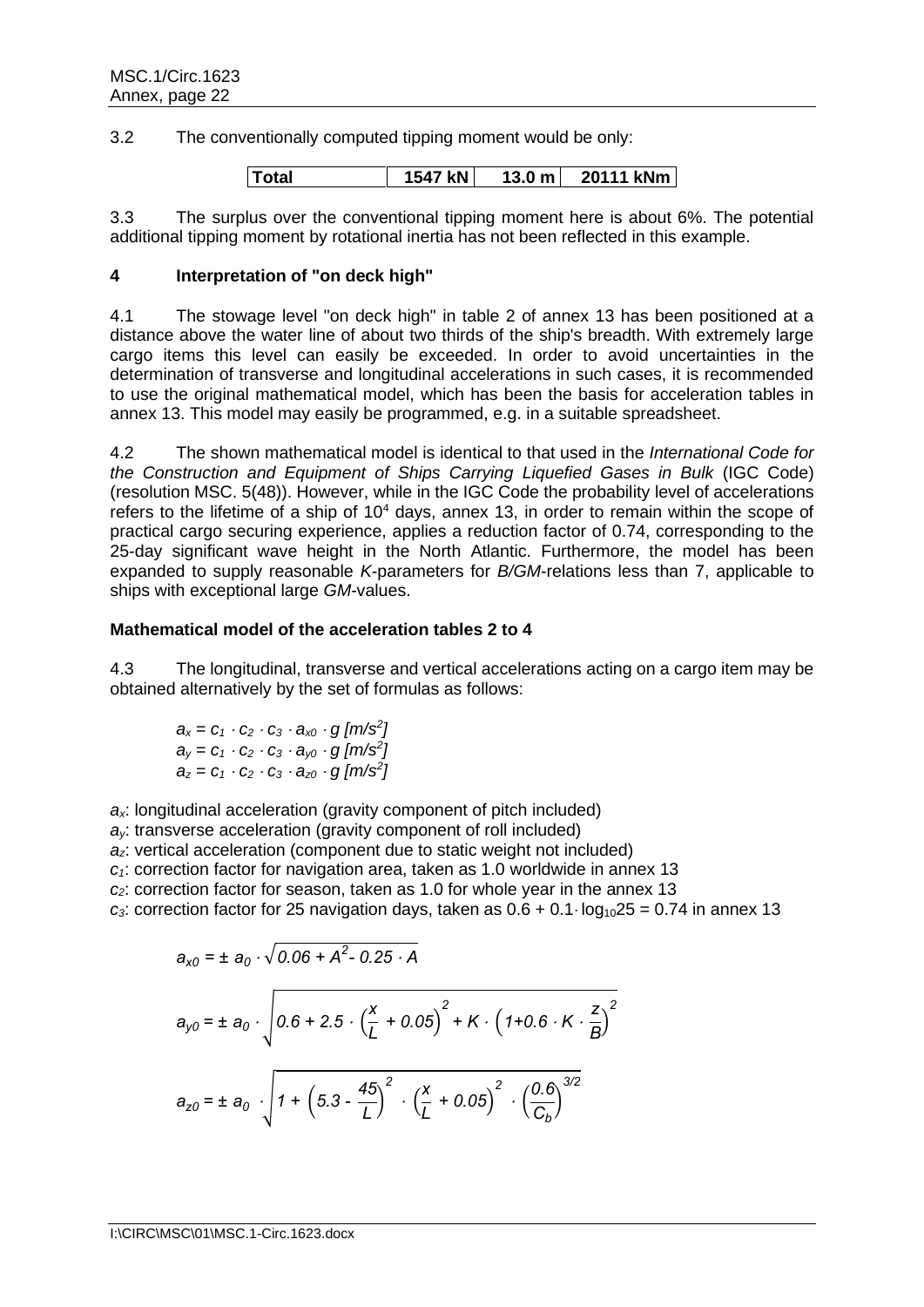3.2 The conventionally computed tipping moment would be only:

|  | <b>Total</b> | 1547 kN | $13.0 \text{ m}$ | 20111 kNm |
|--|--------------|---------|------------------|-----------|
|--|--------------|---------|------------------|-----------|

3.3 The surplus over the conventional tipping moment here is about 6%. The potential additional tipping moment by rotational inertia has not been reflected in this example.

### **4 Interpretation of "on deck high"**

4.1 The stowage level "on deck high" in table 2 of annex 13 has been positioned at a distance above the water line of about two thirds of the ship's breadth. With extremely large cargo items this level can easily be exceeded. In order to avoid uncertainties in the determination of transverse and longitudinal accelerations in such cases, it is recommended to use the original mathematical model, which has been the basis for acceleration tables in annex 13. This model may easily be programmed, e.g. in a suitable spreadsheet.

4.2 The shown mathematical model is identical to that used in the *International Code for the Construction and Equipment of Ships Carrying Liquefied Gases in Bulk* (IGC Code) (resolution MSC. 5(48)). However, while in the IGC Code the probability level of accelerations refers to the lifetime of a ship of  $10<sup>4</sup>$  days, annex 13, in order to remain within the scope of practical cargo securing experience, applies a reduction factor of 0.74, corresponding to the 25-day significant wave height in the North Atlantic. Furthermore, the model has been expanded to supply reasonable *K*-parameters for *B/GM*-relations less than 7, applicable to ships with exceptional large *GM*-values.

# **Mathematical model of the acceleration tables 2 to 4**

4.3 The longitudinal, transverse and vertical accelerations acting on a cargo item may be obtained alternatively by the set of formulas as follows:

$$
a_x = c_1 \cdot c_2 \cdot c_3 \cdot a_{x0} \cdot g \left[ m/s^2 \right]
$$
  
\n
$$
a_y = c_1 \cdot c_2 \cdot c_3 \cdot a_{y0} \cdot g \left[ m/s^2 \right]
$$
  
\n
$$
a_z = c_1 \cdot c_2 \cdot c_3 \cdot a_{z0} \cdot g \left[ m/s^2 \right]
$$

*ax*: longitudinal acceleration (gravity component of pitch included)

*ay*: transverse acceleration (gravity component of roll included)

*az*: vertical acceleration (component due to static weight not included)

*c1*: correction factor for navigation area, taken as 1.0 worldwide in annex 13

*c2*: correction factor for season, taken as 1.0 for whole year in the annex 13

 $c_3$ : correction factor for 25 navigation days, taken as  $0.6 + 0.1 \log_{10} 25 = 0.74$  in annex 13

$$
a_{x0} = \pm a_0 \cdot \sqrt{0.06 + A^2 - 0.25 \cdot A}
$$
  
\n
$$
a_{y0} = \pm a_0 \cdot \sqrt{0.6 + 2.5 \cdot \left(\frac{x}{L} + 0.05\right)^2 + K \cdot \left(1 + 0.6 \cdot K \cdot \frac{z}{B}\right)^2}
$$
  
\n
$$
a_{z0} = \pm a_0 \cdot \sqrt{1 + \left(5.3 - \frac{45}{L}\right)^2 \cdot \left(\frac{x}{L} + 0.05\right)^2 \cdot \left(\frac{0.6}{C_b}\right)^{3/2}}
$$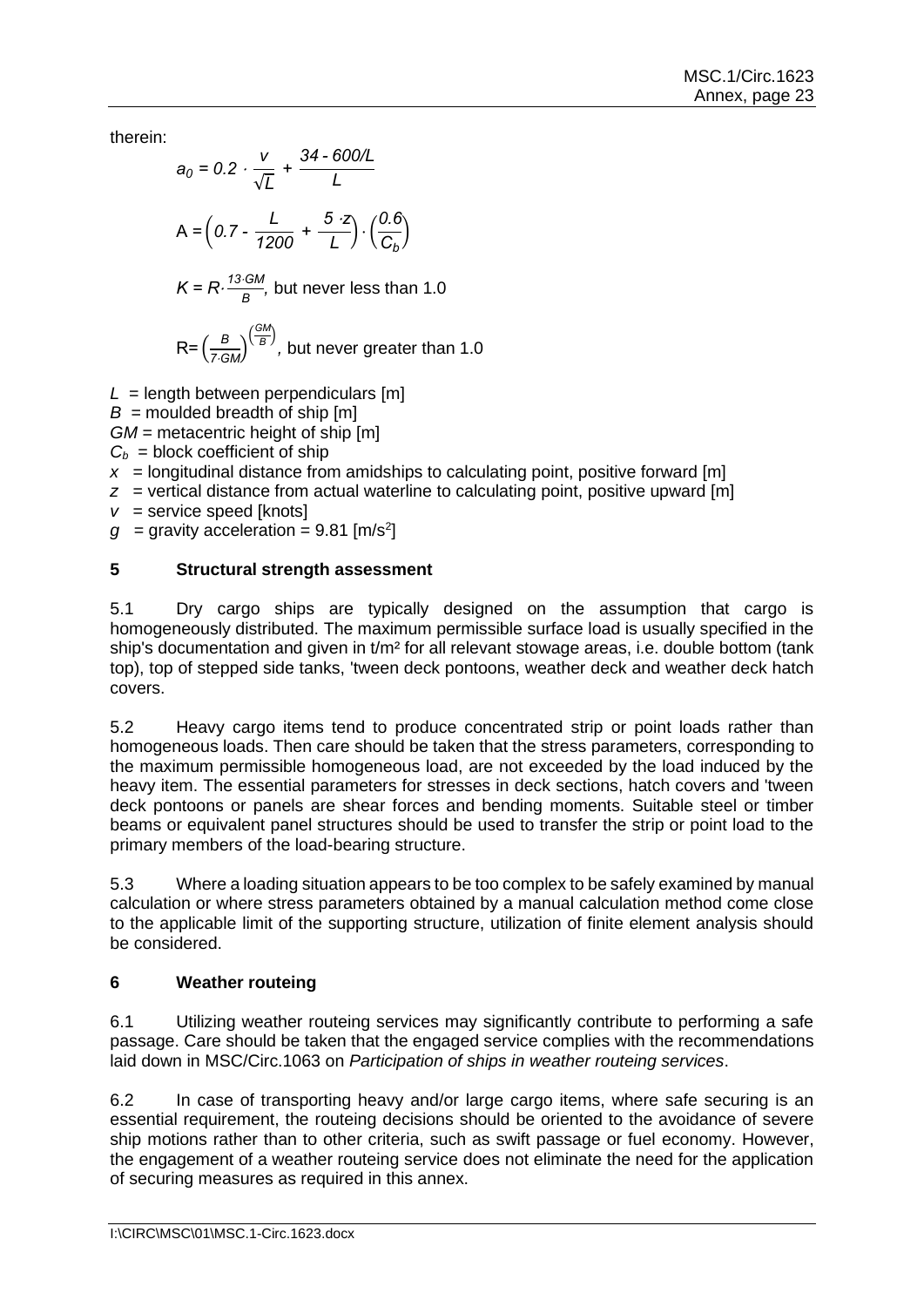therein:

$$
a_0 = 0.2 \cdot \frac{v}{\sqrt{L}} + \frac{34 - 600/L}{L}
$$
  
A =  $\left(0.7 - \frac{L}{1200} + \frac{5 \cdot z}{L}\right) \cdot \left(\frac{0.6}{C_b}\right)$   
K = R \cdot \frac{13 \cdot GM}{B}, but never less than 1.0

$$
R = \left(\frac{B}{7 \cdot GM}\right)^{\left(\frac{GM}{B}\right)},
$$
 but never greater than 1.0

 $L =$  length between perpendiculars  $[m]$ 

 $B =$  moulded breadth of ship  $[m]$ 

*GM* = metacentric height of ship [m]

 $C_b$  = block coefficient of ship

 $x =$  longitudinal distance from amidships to calculating point, positive forward [m]

- *z* = vertical distance from actual waterline to calculating point, positive upward [m]
- *v* = service speed [knots]

 $g =$  gravity acceleration = 9.81 [m/s<sup>2</sup>]

# **5 Structural strength assessment**

5.1 Dry cargo ships are typically designed on the assumption that cargo is homogeneously distributed. The maximum permissible surface load is usually specified in the ship's documentation and given in t/m<sup>2</sup> for all relevant stowage areas, i.e. double bottom (tank top), top of stepped side tanks, 'tween deck pontoons, weather deck and weather deck hatch covers.

5.2 Heavy cargo items tend to produce concentrated strip or point loads rather than homogeneous loads. Then care should be taken that the stress parameters, corresponding to the maximum permissible homogeneous load, are not exceeded by the load induced by the heavy item. The essential parameters for stresses in deck sections, hatch covers and 'tween deck pontoons or panels are shear forces and bending moments. Suitable steel or timber beams or equivalent panel structures should be used to transfer the strip or point load to the primary members of the load-bearing structure.

5.3 Where a loading situation appears to be too complex to be safely examined by manual calculation or where stress parameters obtained by a manual calculation method come close to the applicable limit of the supporting structure, utilization of finite element analysis should be considered.

# **6 Weather routeing**

6.1 Utilizing weather routeing services may significantly contribute to performing a safe passage. Care should be taken that the engaged service complies with the recommendations laid down in MSC/Circ.1063 on *Participation of ships in weather routeing services*.

6.2 In case of transporting heavy and/or large cargo items, where safe securing is an essential requirement, the routeing decisions should be oriented to the avoidance of severe ship motions rather than to other criteria, such as swift passage or fuel economy. However, the engagement of a weather routeing service does not eliminate the need for the application of securing measures as required in this annex.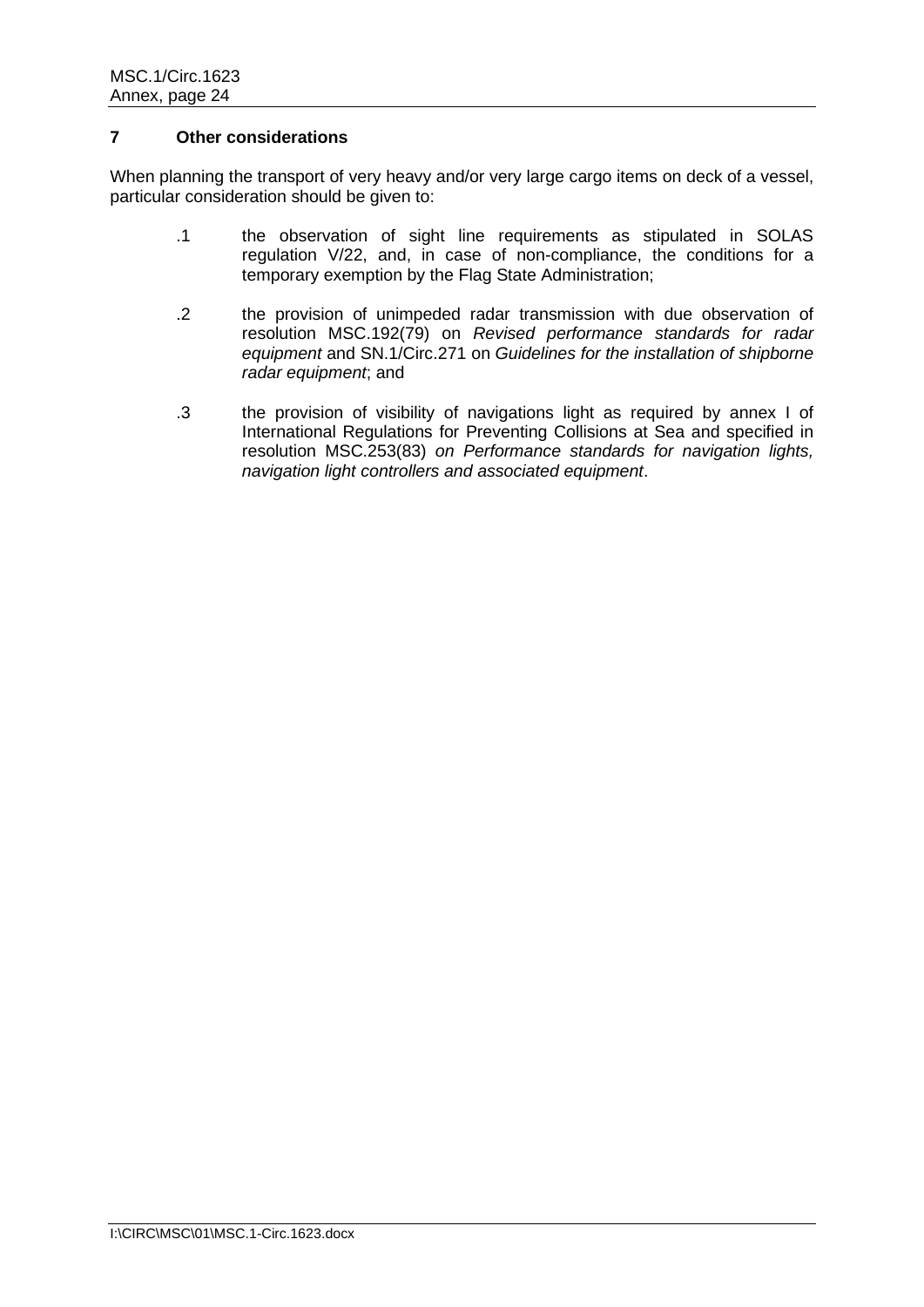# **7 Other considerations**

When planning the transport of very heavy and/or very large cargo items on deck of a vessel, particular consideration should be given to:

- .1 the observation of sight line requirements as stipulated in SOLAS regulation V/22, and, in case of non-compliance, the conditions for a temporary exemption by the Flag State Administration;
- .2 the provision of unimpeded radar transmission with due observation of resolution MSC.192(79) on *Revised performance standards for radar equipment* and SN.1/Circ.271 on *Guidelines for the installation of shipborne radar equipment*; and
- .3 the provision of visibility of navigations light as required by annex I of International Regulations for Preventing Collisions at Sea and specified in resolution MSC.253(83) *on Performance standards for navigation lights, navigation light controllers and associated equipment*.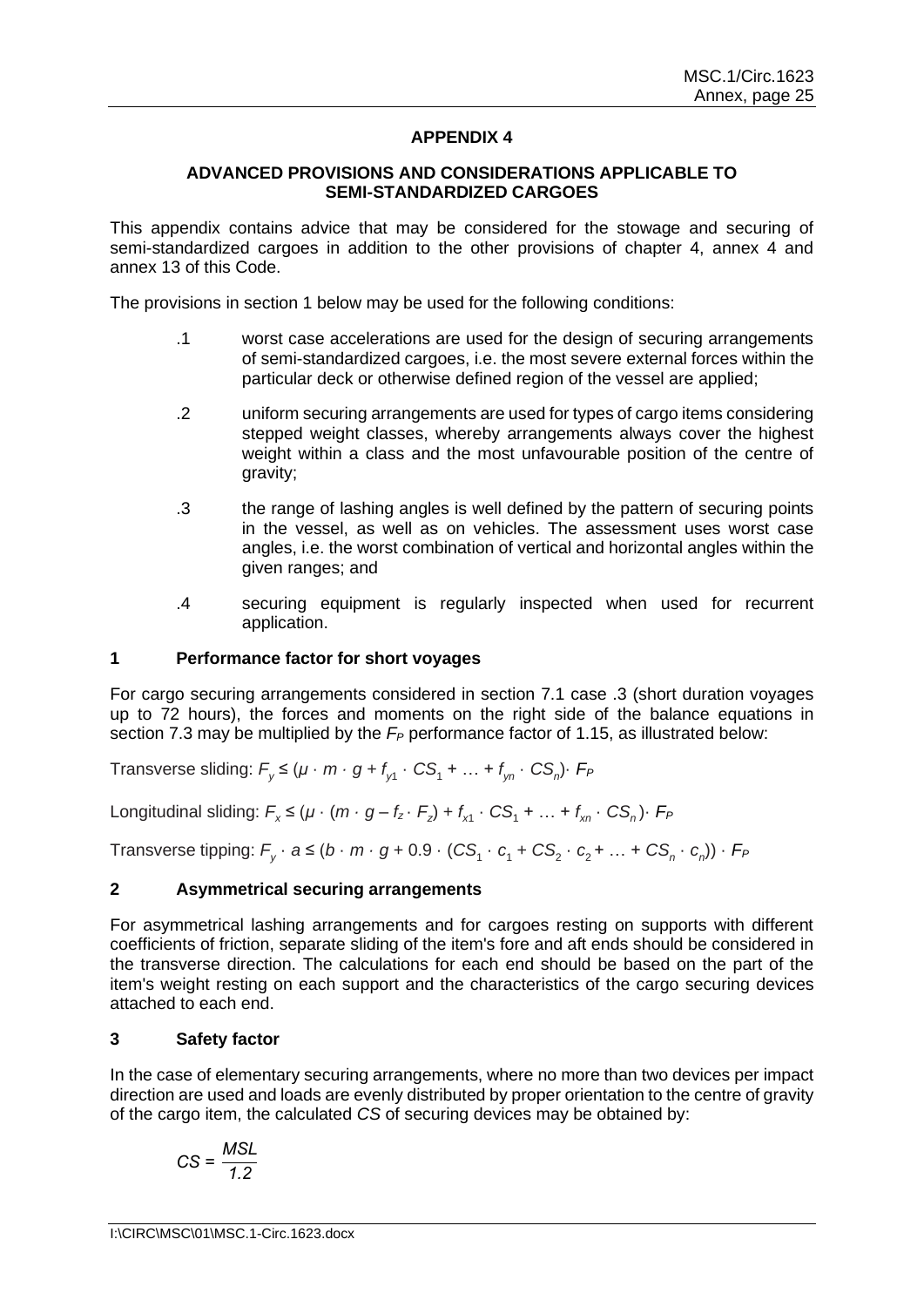# **APPENDIX 4**

### **ADVANCED PROVISIONS AND CONSIDERATIONS APPLICABLE TO SEMI-STANDARDIZED CARGOES**

This appendix contains advice that may be considered for the stowage and securing of semi-standardized cargoes in addition to the other provisions of chapter 4, annex 4 and annex 13 of this Code.

The provisions in section 1 below may be used for the following conditions:

- .1 worst case accelerations are used for the design of securing arrangements of semi-standardized cargoes, i.e. the most severe external forces within the particular deck or otherwise defined region of the vessel are applied:
- .2 uniform securing arrangements are used for types of cargo items considering stepped weight classes, whereby arrangements always cover the highest weight within a class and the most unfavourable position of the centre of gravity;
- .3 the range of lashing angles is well defined by the pattern of securing points in the vessel, as well as on vehicles. The assessment uses worst case angles, i.e. the worst combination of vertical and horizontal angles within the given ranges; and
- .4 securing equipment is regularly inspected when used for recurrent application.

### **1 Performance factor for short voyages**

For cargo securing arrangements considered in section 7.1 case .3 (short duration voyages up to 72 hours), the forces and moments on the right side of the balance equations in section 7.3 may be multiplied by the  $F_P$  performance factor of 1.15, as illustrated below:

Transverse sliding:  $F_{y} \leq (\mu \cdot m \cdot g + f_{y1} \cdot CS_{1} + ... + f_{yn} \cdot CS_{n}) \cdot F_{P}$ 

Longitudinal sliding:  $F_x \leq (\mu \cdot (m \cdot g - f_z \cdot F_z) + f_{x1} \cdot CS_1 + ... + f_{xn} \cdot CS_n) \cdot F_P$ 

 $\sf{Transverse}$  tipping:  $F_{\sf y} \cdot a \leq (b \cdot m \cdot g + 0.9 \cdot (C \mathcal{S}_1 \cdot c_1 + C \mathcal{S}_2 \cdot c_2 + ... + C \mathcal{S}_n \cdot c_n)) \cdot F_{\sf F}$ 

#### **2 Asymmetrical securing arrangements**

For asymmetrical lashing arrangements and for cargoes resting on supports with different coefficients of friction, separate sliding of the item's fore and aft ends should be considered in the transverse direction. The calculations for each end should be based on the part of the item's weight resting on each support and the characteristics of the cargo securing devices attached to each end.

# **3 Safety factor**

In the case of elementary securing arrangements, where no more than two devices per impact direction are used and loads are evenly distributed by proper orientation to the centre of gravity of the cargo item, the calculated *CS* of securing devices may be obtained by:

$$
CS = \frac{MSL}{1.2}
$$